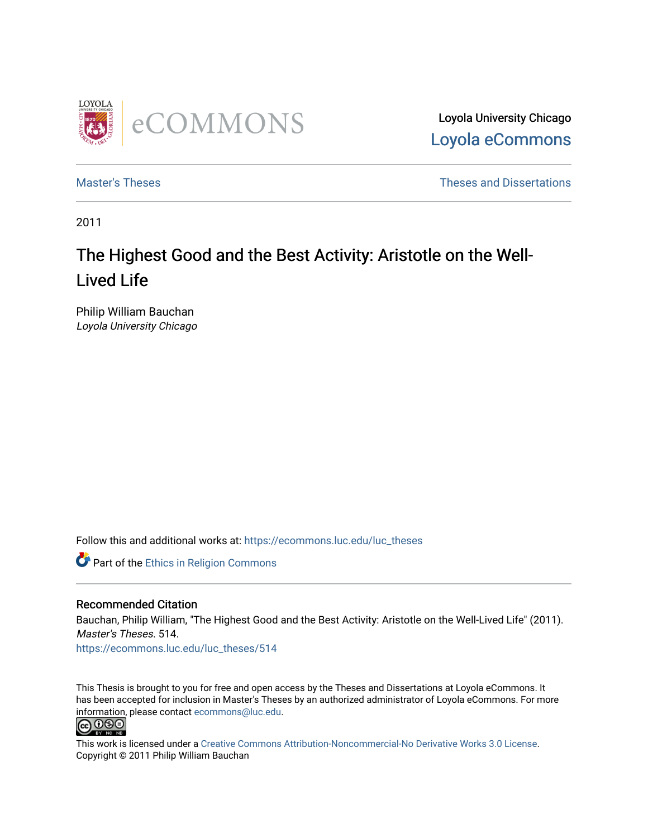

Loyola University Chicago [Loyola eCommons](https://ecommons.luc.edu/) 

[Master's Theses](https://ecommons.luc.edu/luc_theses) **Theses Theses** and Dissertations **Theses** and Dissertations

2011

# The Highest Good and the Best Activity: Aristotle on the Well-Lived Life

Philip William Bauchan Loyola University Chicago

Follow this and additional works at: [https://ecommons.luc.edu/luc\\_theses](https://ecommons.luc.edu/luc_theses?utm_source=ecommons.luc.edu%2Fluc_theses%2F514&utm_medium=PDF&utm_campaign=PDFCoverPages) 

**Part of the Ethics in Religion Commons** 

#### Recommended Citation

Bauchan, Philip William, "The Highest Good and the Best Activity: Aristotle on the Well-Lived Life" (2011). Master's Theses. 514. [https://ecommons.luc.edu/luc\\_theses/514](https://ecommons.luc.edu/luc_theses/514?utm_source=ecommons.luc.edu%2Fluc_theses%2F514&utm_medium=PDF&utm_campaign=PDFCoverPages) 

This Thesis is brought to you for free and open access by the Theses and Dissertations at Loyola eCommons. It has been accepted for inclusion in Master's Theses by an authorized administrator of Loyola eCommons. For more information, please contact [ecommons@luc.edu.](mailto:ecommons@luc.edu)<br> **@ 099** 



This work is licensed under a [Creative Commons Attribution-Noncommercial-No Derivative Works 3.0 License.](https://creativecommons.org/licenses/by-nc-nd/3.0/) Copyright © 2011 Philip William Bauchan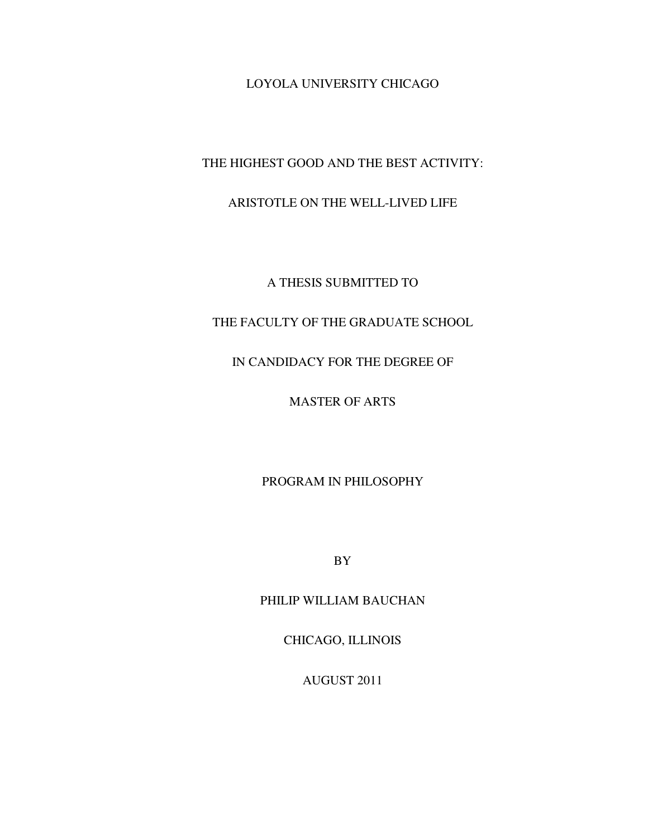LOYOLA UNIVERSITY CHICAGO

THE HIGHEST GOOD AND THE BEST ACTIVITY:

### ARISTOTLE ON THE WELL-LIVED LIFE

A THESIS SUBMITTED TO

## THE FACULTY OF THE GRADUATE SCHOOL

## IN CANDIDACY FOR THE DEGREE OF

MASTER OF ARTS

PROGRAM IN PHILOSOPHY

BY

PHILIP WILLIAM BAUCHAN

CHICAGO, ILLINOIS

AUGUST 2011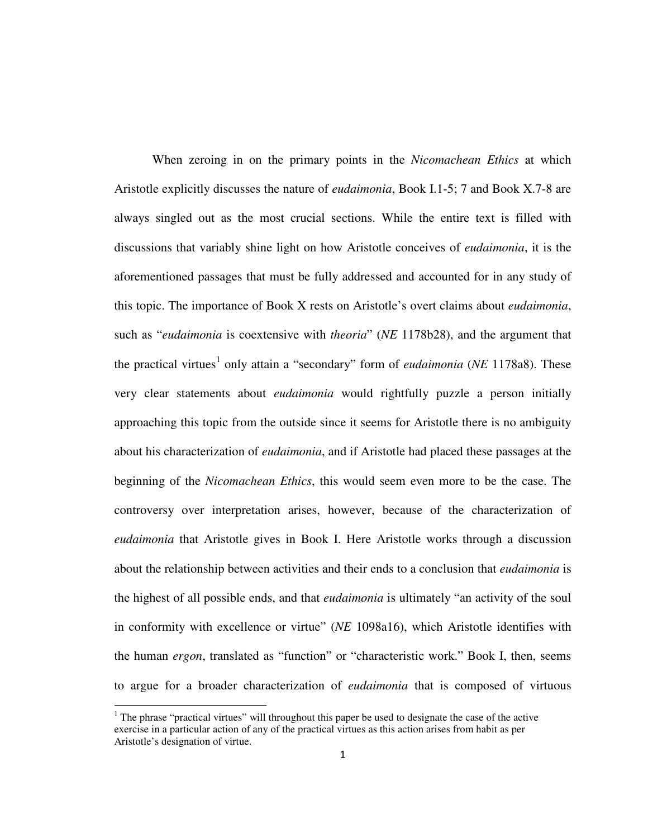When zeroing in on the primary points in the *Nicomachean Ethics* at which Aristotle explicitly discusses the nature of *eudaimonia*, Book I.1-5; 7 and Book X.7-8 are always singled out as the most crucial sections. While the entire text is filled with discussions that variably shine light on how Aristotle conceives of *eudaimonia*, it is the aforementioned passages that must be fully addressed and accounted for in any study of this topic. The importance of Book X rests on Aristotle's overt claims about *eudaimonia*, such as "*eudaimonia* is coextensive with *theoria*" (*NE* 1178b28), and the argument that the practical virtues<sup>1</sup> only attain a "secondary" form of *eudaimonia* (*NE* 1178a8). These very clear statements about *eudaimonia* would rightfully puzzle a person initially approaching this topic from the outside since it seems for Aristotle there is no ambiguity about his characterization of *eudaimonia*, and if Aristotle had placed these passages at the beginning of the *Nicomachean Ethics*, this would seem even more to be the case. The controversy over interpretation arises, however, because of the characterization of *eudaimonia* that Aristotle gives in Book I. Here Aristotle works through a discussion about the relationship between activities and their ends to a conclusion that *eudaimonia* is the highest of all possible ends, and that *eudaimonia* is ultimately "an activity of the soul in conformity with excellence or virtue" (*NE* 1098a16), which Aristotle identifies with the human *ergon*, translated as "function" or "characteristic work." Book I, then, seems to argue for a broader characterization of *eudaimonia* that is composed of virtuous

 $<sup>1</sup>$  The phrase "practical virtues" will throughout this paper be used to designate the case of the active</sup> exercise in a particular action of any of the practical virtues as this action arises from habit as per Aristotle's designation of virtue.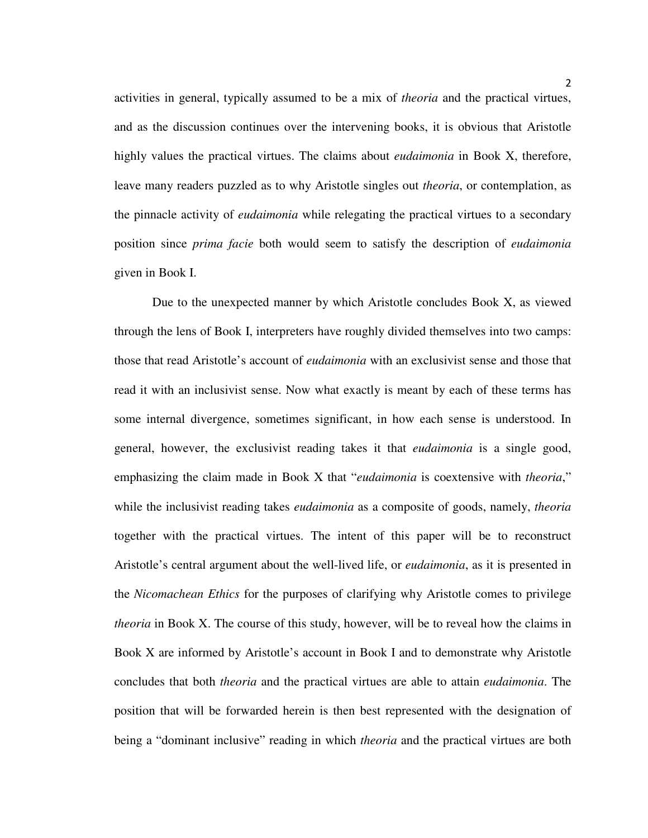activities in general, typically assumed to be a mix of *theoria* and the practical virtues, and as the discussion continues over the intervening books, it is obvious that Aristotle highly values the practical virtues. The claims about *eudaimonia* in Book X, therefore, leave many readers puzzled as to why Aristotle singles out *theoria*, or contemplation, as the pinnacle activity of *eudaimonia* while relegating the practical virtues to a secondary position since *prima facie* both would seem to satisfy the description of *eudaimonia* given in Book I.

Due to the unexpected manner by which Aristotle concludes Book X, as viewed through the lens of Book I, interpreters have roughly divided themselves into two camps: those that read Aristotle's account of *eudaimonia* with an exclusivist sense and those that read it with an inclusivist sense. Now what exactly is meant by each of these terms has some internal divergence, sometimes significant, in how each sense is understood. In general, however, the exclusivist reading takes it that *eudaimonia* is a single good, emphasizing the claim made in Book X that "*eudaimonia* is coextensive with *theoria*," while the inclusivist reading takes *eudaimonia* as a composite of goods, namely, *theoria* together with the practical virtues. The intent of this paper will be to reconstruct Aristotle's central argument about the well-lived life, or *eudaimonia*, as it is presented in the *Nicomachean Ethics* for the purposes of clarifying why Aristotle comes to privilege *theoria* in Book X. The course of this study, however, will be to reveal how the claims in Book X are informed by Aristotle's account in Book I and to demonstrate why Aristotle concludes that both *theoria* and the practical virtues are able to attain *eudaimonia*. The position that will be forwarded herein is then best represented with the designation of being a "dominant inclusive" reading in which *theoria* and the practical virtues are both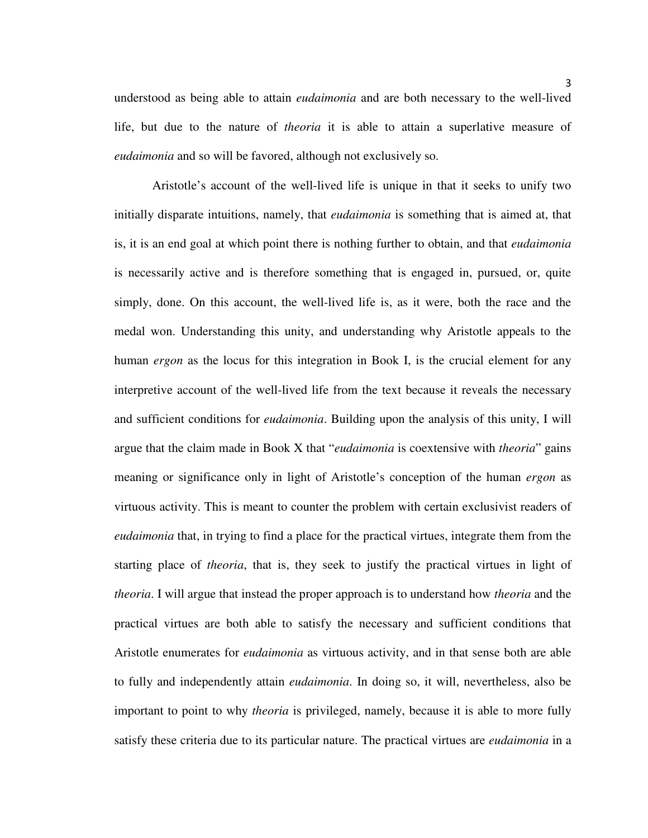understood as being able to attain *eudaimonia* and are both necessary to the well-lived life, but due to the nature of *theoria* it is able to attain a superlative measure of *eudaimonia* and so will be favored, although not exclusively so.

Aristotle's account of the well-lived life is unique in that it seeks to unify two initially disparate intuitions, namely, that *eudaimonia* is something that is aimed at, that is, it is an end goal at which point there is nothing further to obtain, and that *eudaimonia* is necessarily active and is therefore something that is engaged in, pursued, or, quite simply, done. On this account, the well-lived life is, as it were, both the race and the medal won. Understanding this unity, and understanding why Aristotle appeals to the human *ergon* as the locus for this integration in Book I, is the crucial element for any interpretive account of the well-lived life from the text because it reveals the necessary and sufficient conditions for *eudaimonia*. Building upon the analysis of this unity, I will argue that the claim made in Book X that "*eudaimonia* is coextensive with *theoria*" gains meaning or significance only in light of Aristotle's conception of the human *ergon* as virtuous activity. This is meant to counter the problem with certain exclusivist readers of *eudaimonia* that, in trying to find a place for the practical virtues, integrate them from the starting place of *theoria*, that is, they seek to justify the practical virtues in light of *theoria*. I will argue that instead the proper approach is to understand how *theoria* and the practical virtues are both able to satisfy the necessary and sufficient conditions that Aristotle enumerates for *eudaimonia* as virtuous activity, and in that sense both are able to fully and independently attain *eudaimonia*. In doing so, it will, nevertheless, also be important to point to why *theoria* is privileged, namely, because it is able to more fully satisfy these criteria due to its particular nature. The practical virtues are *eudaimonia* in a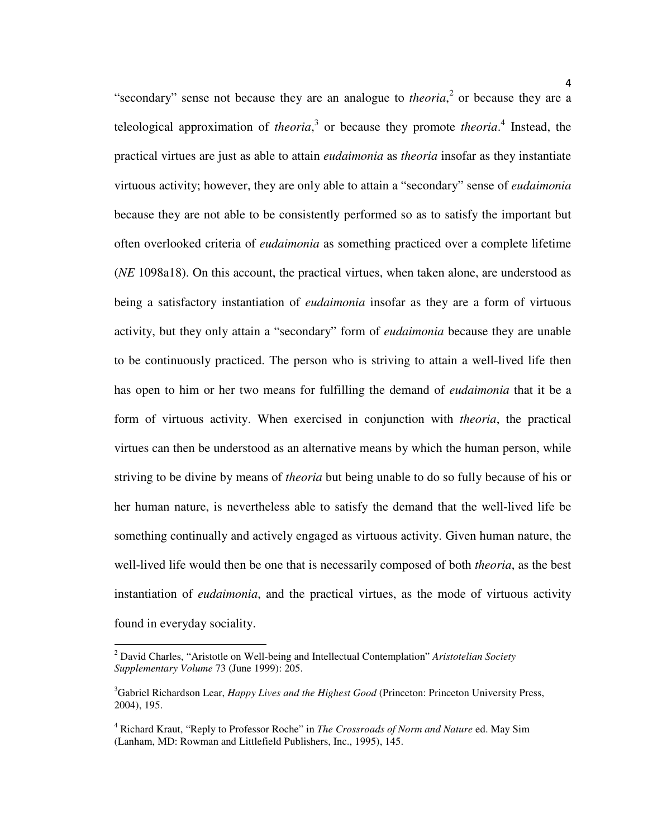"secondary" sense not because they are an analogue to *theoria*,<sup>2</sup> or because they are a teleological approximation of *theoria*, 3 or because they promote *theoria*. 4 Instead, the practical virtues are just as able to attain *eudaimonia* as *theoria* insofar as they instantiate virtuous activity; however, they are only able to attain a "secondary" sense of *eudaimonia*  because they are not able to be consistently performed so as to satisfy the important but often overlooked criteria of *eudaimonia* as something practiced over a complete lifetime (*NE* 1098a18). On this account, the practical virtues, when taken alone, are understood as being a satisfactory instantiation of *eudaimonia* insofar as they are a form of virtuous activity, but they only attain a "secondary" form of *eudaimonia* because they are unable to be continuously practiced. The person who is striving to attain a well-lived life then has open to him or her two means for fulfilling the demand of *eudaimonia* that it be a form of virtuous activity. When exercised in conjunction with *theoria*, the practical virtues can then be understood as an alternative means by which the human person, while striving to be divine by means of *theoria* but being unable to do so fully because of his or her human nature, is nevertheless able to satisfy the demand that the well-lived life be something continually and actively engaged as virtuous activity. Given human nature, the well-lived life would then be one that is necessarily composed of both *theoria*, as the best instantiation of *eudaimonia*, and the practical virtues, as the mode of virtuous activity found in everyday sociality.

l

<sup>2</sup> David Charles, "Aristotle on Well-being and Intellectual Contemplation" *Aristotelian Society Supplementary Volume* 73 (June 1999): 205.

<sup>3</sup>Gabriel Richardson Lear, *Happy Lives and the Highest Good* (Princeton: Princeton University Press, 2004), 195.

<sup>4</sup> Richard Kraut, "Reply to Professor Roche" in *The Crossroads of Norm and Nature* ed. May Sim (Lanham, MD: Rowman and Littlefield Publishers, Inc., 1995), 145.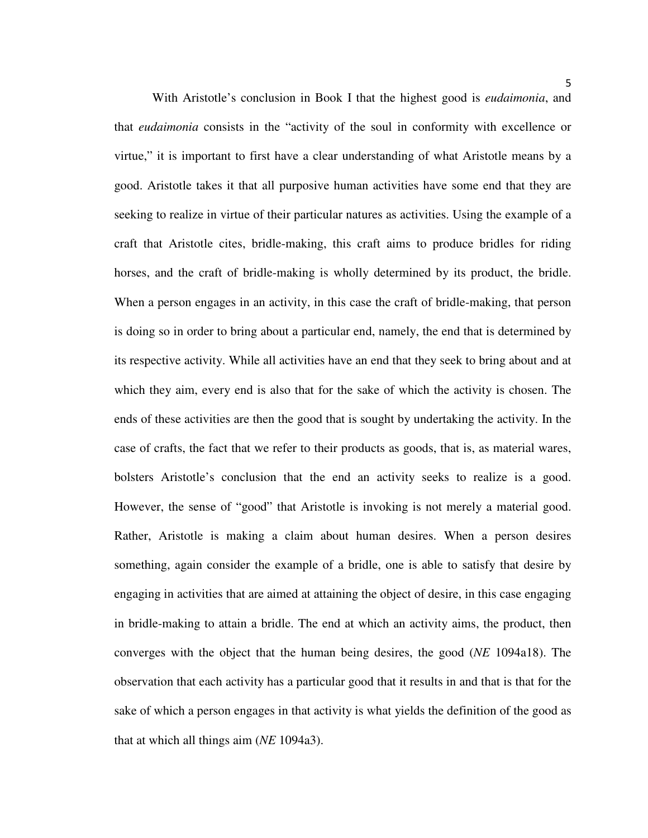With Aristotle's conclusion in Book I that the highest good is *eudaimonia*, and that *eudaimonia* consists in the "activity of the soul in conformity with excellence or virtue," it is important to first have a clear understanding of what Aristotle means by a good. Aristotle takes it that all purposive human activities have some end that they are seeking to realize in virtue of their particular natures as activities. Using the example of a craft that Aristotle cites, bridle-making, this craft aims to produce bridles for riding horses, and the craft of bridle-making is wholly determined by its product, the bridle. When a person engages in an activity, in this case the craft of bridle-making, that person is doing so in order to bring about a particular end, namely, the end that is determined by its respective activity. While all activities have an end that they seek to bring about and at which they aim, every end is also that for the sake of which the activity is chosen. The ends of these activities are then the good that is sought by undertaking the activity. In the case of crafts, the fact that we refer to their products as goods, that is, as material wares, bolsters Aristotle's conclusion that the end an activity seeks to realize is a good. However, the sense of "good" that Aristotle is invoking is not merely a material good. Rather, Aristotle is making a claim about human desires. When a person desires something, again consider the example of a bridle, one is able to satisfy that desire by engaging in activities that are aimed at attaining the object of desire, in this case engaging in bridle-making to attain a bridle. The end at which an activity aims, the product, then converges with the object that the human being desires, the good (*NE* 1094a18). The observation that each activity has a particular good that it results in and that is that for the sake of which a person engages in that activity is what yields the definition of the good as that at which all things aim (*NE* 1094a3).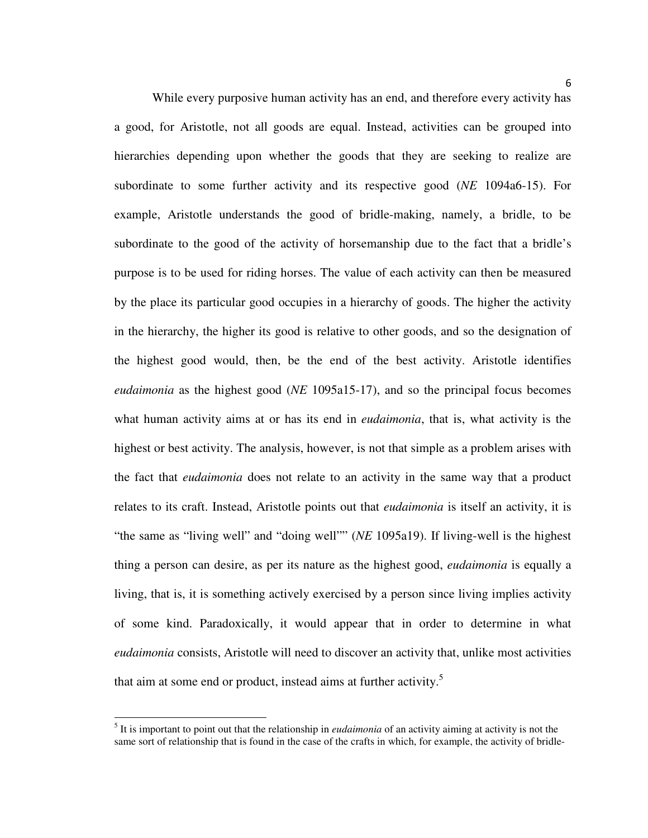While every purposive human activity has an end, and therefore every activity has a good, for Aristotle, not all goods are equal. Instead, activities can be grouped into hierarchies depending upon whether the goods that they are seeking to realize are subordinate to some further activity and its respective good (*NE* 1094a6-15). For example, Aristotle understands the good of bridle-making, namely, a bridle, to be subordinate to the good of the activity of horsemanship due to the fact that a bridle's purpose is to be used for riding horses. The value of each activity can then be measured by the place its particular good occupies in a hierarchy of goods. The higher the activity in the hierarchy, the higher its good is relative to other goods, and so the designation of the highest good would, then, be the end of the best activity. Aristotle identifies *eudaimonia* as the highest good (*NE* 1095a15-17), and so the principal focus becomes what human activity aims at or has its end in *eudaimonia*, that is, what activity is the highest or best activity. The analysis, however, is not that simple as a problem arises with the fact that *eudaimonia* does not relate to an activity in the same way that a product relates to its craft. Instead, Aristotle points out that *eudaimonia* is itself an activity, it is "the same as "living well" and "doing well"" (*NE* 1095a19). If living-well is the highest thing a person can desire, as per its nature as the highest good, *eudaimonia* is equally a living, that is, it is something actively exercised by a person since living implies activity of some kind. Paradoxically, it would appear that in order to determine in what *eudaimonia* consists, Aristotle will need to discover an activity that, unlike most activities that aim at some end or product, instead aims at further activity.<sup>5</sup>

l

<sup>&</sup>lt;sup>5</sup> It is important to point out that the relationship in *eudaimonia* of an activity aiming at activity is not the same sort of relationship that is found in the case of the crafts in which, for example, the activity of bridle-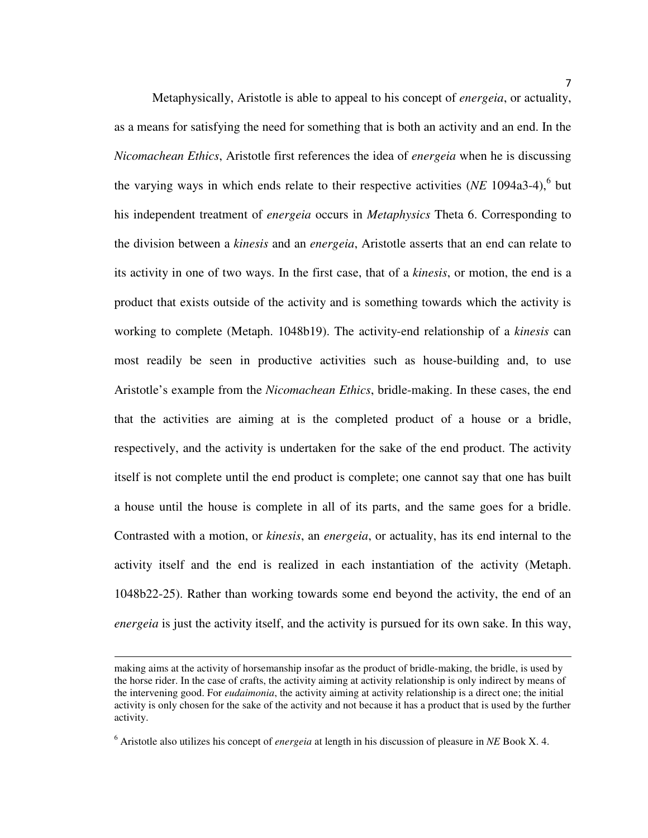Metaphysically, Aristotle is able to appeal to his concept of *energeia*, or actuality, as a means for satisfying the need for something that is both an activity and an end. In the *Nicomachean Ethics*, Aristotle first references the idea of *energeia* when he is discussing the varying ways in which ends relate to their respective activities  $(NE 1094a3-4)$ <sup>6</sup> but his independent treatment of *energeia* occurs in *Metaphysics* Theta 6. Corresponding to the division between a *kinesis* and an *energeia*, Aristotle asserts that an end can relate to its activity in one of two ways. In the first case, that of a *kinesis*, or motion, the end is a product that exists outside of the activity and is something towards which the activity is working to complete (Metaph. 1048b19). The activity-end relationship of a *kinesis* can most readily be seen in productive activities such as house-building and, to use Aristotle's example from the *Nicomachean Ethics*, bridle-making. In these cases, the end that the activities are aiming at is the completed product of a house or a bridle, respectively, and the activity is undertaken for the sake of the end product. The activity itself is not complete until the end product is complete; one cannot say that one has built a house until the house is complete in all of its parts, and the same goes for a bridle. Contrasted with a motion, or *kinesis*, an *energeia*, or actuality, has its end internal to the activity itself and the end is realized in each instantiation of the activity (Metaph. 1048b22-25). Rather than working towards some end beyond the activity, the end of an *energeia* is just the activity itself, and the activity is pursued for its own sake. In this way,

making aims at the activity of horsemanship insofar as the product of bridle-making, the bridle, is used by the horse rider. In the case of crafts, the activity aiming at activity relationship is only indirect by means of the intervening good. For *eudaimonia*, the activity aiming at activity relationship is a direct one; the initial activity is only chosen for the sake of the activity and not because it has a product that is used by the further activity.

<sup>6</sup> Aristotle also utilizes his concept of *energeia* at length in his discussion of pleasure in *NE* Book X. 4.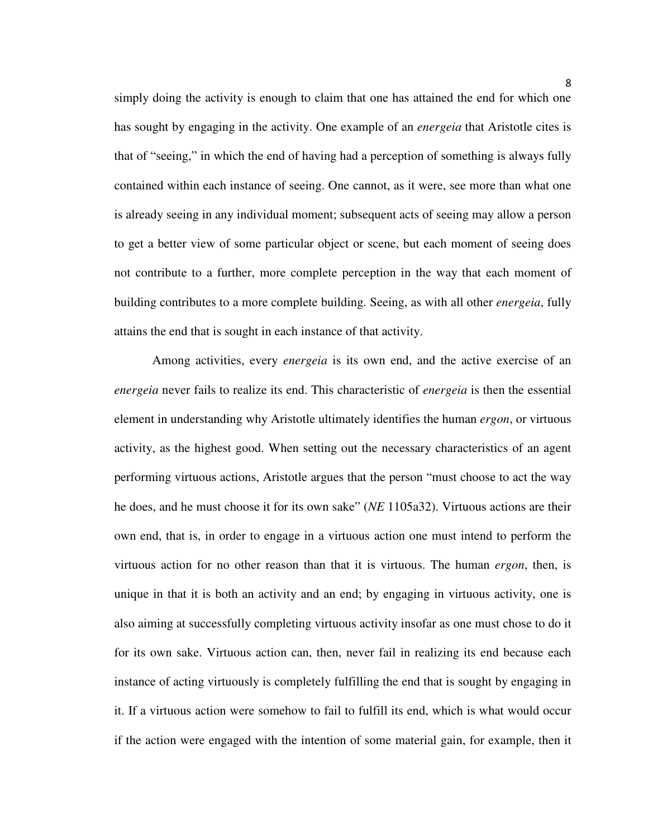simply doing the activity is enough to claim that one has attained the end for which one has sought by engaging in the activity. One example of an *energeia* that Aristotle cites is that of "seeing," in which the end of having had a perception of something is always fully contained within each instance of seeing. One cannot, as it were, see more than what one is already seeing in any individual moment; subsequent acts of seeing may allow a person to get a better view of some particular object or scene, but each moment of seeing does not contribute to a further, more complete perception in the way that each moment of building contributes to a more complete building. Seeing, as with all other *energeia*, fully attains the end that is sought in each instance of that activity.

Among activities, every *energeia* is its own end, and the active exercise of an *energeia* never fails to realize its end. This characteristic of *energeia* is then the essential element in understanding why Aristotle ultimately identifies the human *ergon*, or virtuous activity, as the highest good. When setting out the necessary characteristics of an agent performing virtuous actions, Aristotle argues that the person "must choose to act the way he does, and he must choose it for its own sake" (*NE* 1105a32). Virtuous actions are their own end, that is, in order to engage in a virtuous action one must intend to perform the virtuous action for no other reason than that it is virtuous. The human *ergon*, then, is unique in that it is both an activity and an end; by engaging in virtuous activity, one is also aiming at successfully completing virtuous activity insofar as one must chose to do it for its own sake. Virtuous action can, then, never fail in realizing its end because each instance of acting virtuously is completely fulfilling the end that is sought by engaging in it. If a virtuous action were somehow to fail to fulfill its end, which is what would occur if the action were engaged with the intention of some material gain, for example, then it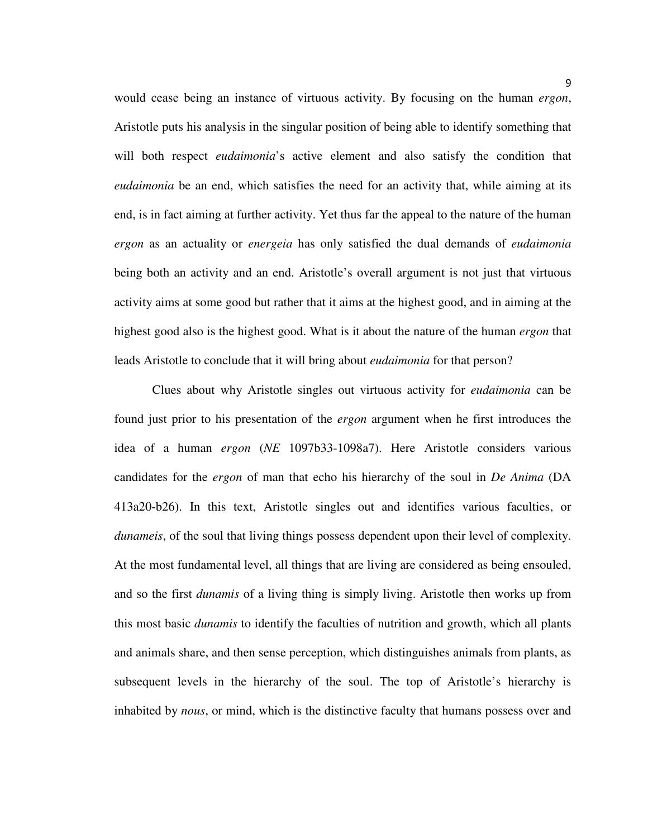would cease being an instance of virtuous activity. By focusing on the human *ergon*, Aristotle puts his analysis in the singular position of being able to identify something that will both respect *eudaimonia*'s active element and also satisfy the condition that *eudaimonia* be an end, which satisfies the need for an activity that, while aiming at its end, is in fact aiming at further activity. Yet thus far the appeal to the nature of the human *ergon* as an actuality or *energeia* has only satisfied the dual demands of *eudaimonia* being both an activity and an end. Aristotle's overall argument is not just that virtuous activity aims at some good but rather that it aims at the highest good, and in aiming at the highest good also is the highest good. What is it about the nature of the human *ergon* that leads Aristotle to conclude that it will bring about *eudaimonia* for that person?

 Clues about why Aristotle singles out virtuous activity for *eudaimonia* can be found just prior to his presentation of the *ergon* argument when he first introduces the idea of a human *ergon* (*NE* 1097b33-1098a7). Here Aristotle considers various candidates for the *ergon* of man that echo his hierarchy of the soul in *De Anima* (DA 413a20-b26). In this text, Aristotle singles out and identifies various faculties, or *dunameis*, of the soul that living things possess dependent upon their level of complexity. At the most fundamental level, all things that are living are considered as being ensouled, and so the first *dunamis* of a living thing is simply living. Aristotle then works up from this most basic *dunamis* to identify the faculties of nutrition and growth, which all plants and animals share, and then sense perception, which distinguishes animals from plants, as subsequent levels in the hierarchy of the soul. The top of Aristotle's hierarchy is inhabited by *nous*, or mind, which is the distinctive faculty that humans possess over and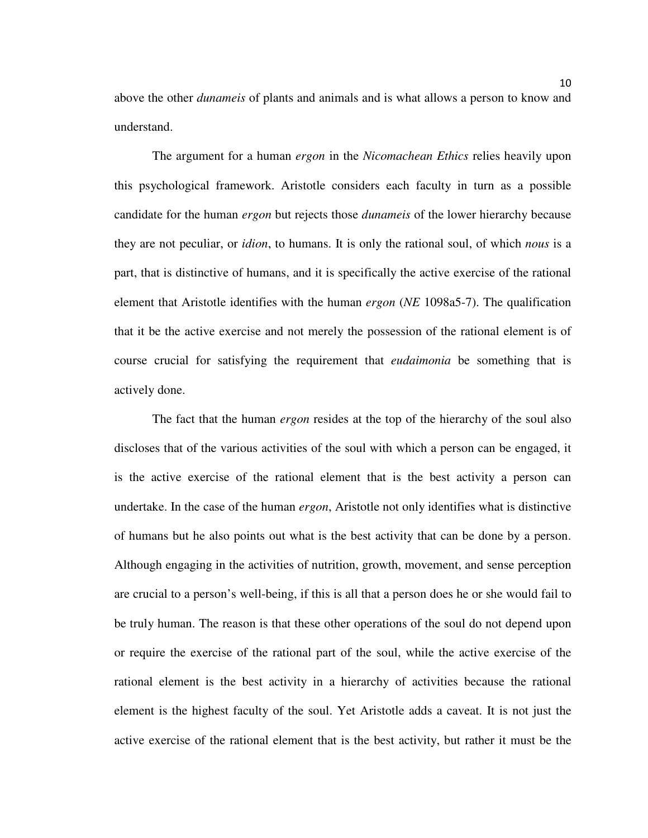above the other *dunameis* of plants and animals and is what allows a person to know and understand.

The argument for a human *ergon* in the *Nicomachean Ethics* relies heavily upon this psychological framework. Aristotle considers each faculty in turn as a possible candidate for the human *ergon* but rejects those *dunameis* of the lower hierarchy because they are not peculiar, or *idion*, to humans. It is only the rational soul, of which *nous* is a part, that is distinctive of humans, and it is specifically the active exercise of the rational element that Aristotle identifies with the human *ergon* (*NE* 1098a5-7). The qualification that it be the active exercise and not merely the possession of the rational element is of course crucial for satisfying the requirement that *eudaimonia* be something that is actively done.

The fact that the human *ergon* resides at the top of the hierarchy of the soul also discloses that of the various activities of the soul with which a person can be engaged, it is the active exercise of the rational element that is the best activity a person can undertake. In the case of the human *ergon*, Aristotle not only identifies what is distinctive of humans but he also points out what is the best activity that can be done by a person. Although engaging in the activities of nutrition, growth, movement, and sense perception are crucial to a person's well-being, if this is all that a person does he or she would fail to be truly human. The reason is that these other operations of the soul do not depend upon or require the exercise of the rational part of the soul, while the active exercise of the rational element is the best activity in a hierarchy of activities because the rational element is the highest faculty of the soul. Yet Aristotle adds a caveat. It is not just the active exercise of the rational element that is the best activity, but rather it must be the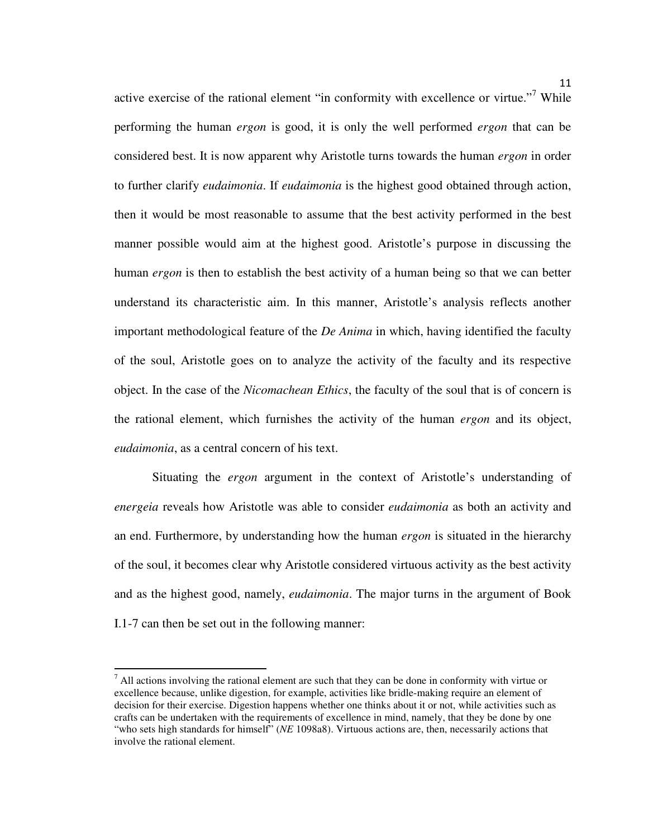active exercise of the rational element "in conformity with excellence or virtue."<sup>7</sup> While performing the human *ergon* is good, it is only the well performed *ergon* that can be considered best. It is now apparent why Aristotle turns towards the human *ergon* in order to further clarify *eudaimonia*. If *eudaimonia* is the highest good obtained through action, then it would be most reasonable to assume that the best activity performed in the best manner possible would aim at the highest good. Aristotle's purpose in discussing the human *ergon* is then to establish the best activity of a human being so that we can better understand its characteristic aim. In this manner, Aristotle's analysis reflects another important methodological feature of the *De Anima* in which, having identified the faculty of the soul, Aristotle goes on to analyze the activity of the faculty and its respective object. In the case of the *Nicomachean Ethics*, the faculty of the soul that is of concern is the rational element, which furnishes the activity of the human *ergon* and its object, *eudaimonia*, as a central concern of his text.

 Situating the *ergon* argument in the context of Aristotle's understanding of *energeia* reveals how Aristotle was able to consider *eudaimonia* as both an activity and an end. Furthermore, by understanding how the human *ergon* is situated in the hierarchy of the soul, it becomes clear why Aristotle considered virtuous activity as the best activity and as the highest good, namely, *eudaimonia*. The major turns in the argument of Book I.1-7 can then be set out in the following manner:

l

 $<sup>7</sup>$  All actions involving the rational element are such that they can be done in conformity with virtue or</sup> excellence because, unlike digestion, for example, activities like bridle-making require an element of decision for their exercise. Digestion happens whether one thinks about it or not, while activities such as crafts can be undertaken with the requirements of excellence in mind, namely, that they be done by one "who sets high standards for himself" (*NE* 1098a8). Virtuous actions are, then, necessarily actions that involve the rational element.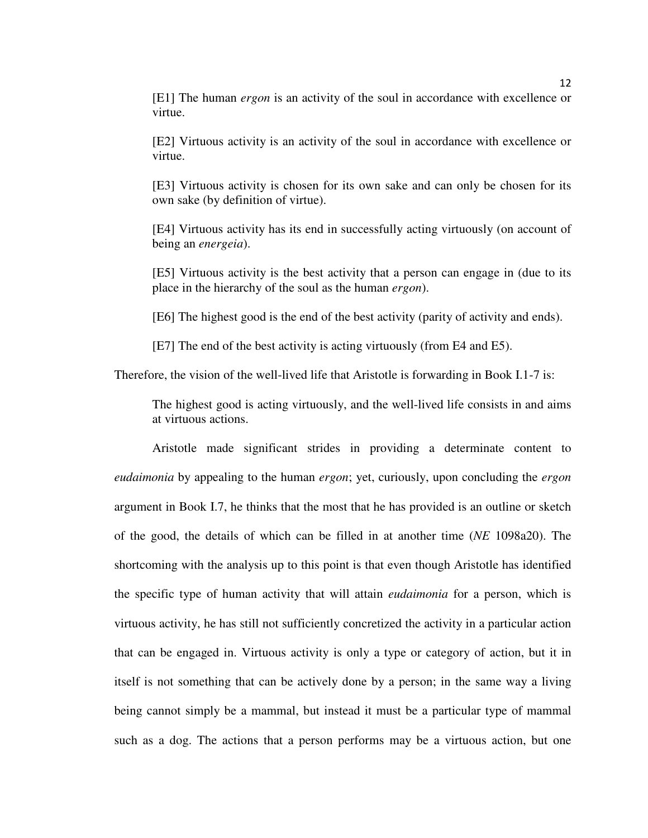[E1] The human *ergon* is an activity of the soul in accordance with excellence or virtue.

[E2] Virtuous activity is an activity of the soul in accordance with excellence or virtue.

[E3] Virtuous activity is chosen for its own sake and can only be chosen for its own sake (by definition of virtue).

[E4] Virtuous activity has its end in successfully acting virtuously (on account of being an *energeia*).

[E5] Virtuous activity is the best activity that a person can engage in (due to its place in the hierarchy of the soul as the human *ergon*).

[E6] The highest good is the end of the best activity (parity of activity and ends).

[E7] The end of the best activity is acting virtuously (from E4 and E5).

Therefore, the vision of the well-lived life that Aristotle is forwarding in Book I.1-7 is:

The highest good is acting virtuously, and the well-lived life consists in and aims at virtuous actions.

 Aristotle made significant strides in providing a determinate content to *eudaimonia* by appealing to the human *ergon*; yet, curiously, upon concluding the *ergon*  argument in Book I.7, he thinks that the most that he has provided is an outline or sketch of the good, the details of which can be filled in at another time (*NE* 1098a20). The shortcoming with the analysis up to this point is that even though Aristotle has identified the specific type of human activity that will attain *eudaimonia* for a person, which is virtuous activity, he has still not sufficiently concretized the activity in a particular action that can be engaged in. Virtuous activity is only a type or category of action, but it in itself is not something that can be actively done by a person; in the same way a living being cannot simply be a mammal, but instead it must be a particular type of mammal such as a dog. The actions that a person performs may be a virtuous action, but one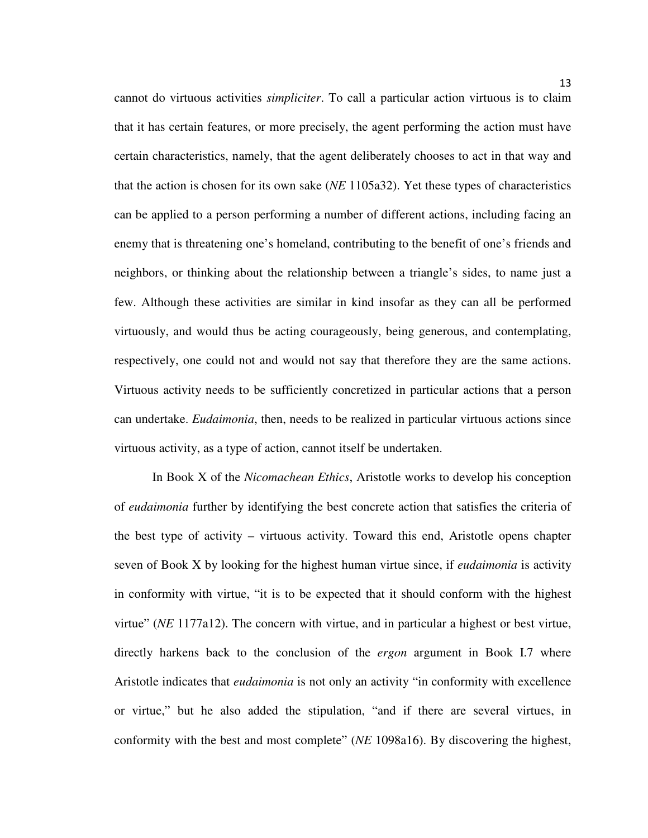cannot do virtuous activities *simpliciter*. To call a particular action virtuous is to claim that it has certain features, or more precisely, the agent performing the action must have certain characteristics, namely, that the agent deliberately chooses to act in that way and that the action is chosen for its own sake (*NE* 1105a32). Yet these types of characteristics can be applied to a person performing a number of different actions, including facing an enemy that is threatening one's homeland, contributing to the benefit of one's friends and neighbors, or thinking about the relationship between a triangle's sides, to name just a few. Although these activities are similar in kind insofar as they can all be performed virtuously, and would thus be acting courageously, being generous, and contemplating, respectively, one could not and would not say that therefore they are the same actions. Virtuous activity needs to be sufficiently concretized in particular actions that a person can undertake. *Eudaimonia*, then, needs to be realized in particular virtuous actions since virtuous activity, as a type of action, cannot itself be undertaken.

In Book X of the *Nicomachean Ethics*, Aristotle works to develop his conception of *eudaimonia* further by identifying the best concrete action that satisfies the criteria of the best type of activity – virtuous activity. Toward this end, Aristotle opens chapter seven of Book X by looking for the highest human virtue since, if *eudaimonia* is activity in conformity with virtue, "it is to be expected that it should conform with the highest virtue" (*NE* 1177a12). The concern with virtue, and in particular a highest or best virtue, directly harkens back to the conclusion of the *ergon* argument in Book I.7 where Aristotle indicates that *eudaimonia* is not only an activity "in conformity with excellence or virtue," but he also added the stipulation, "and if there are several virtues, in conformity with the best and most complete" (*NE* 1098a16). By discovering the highest,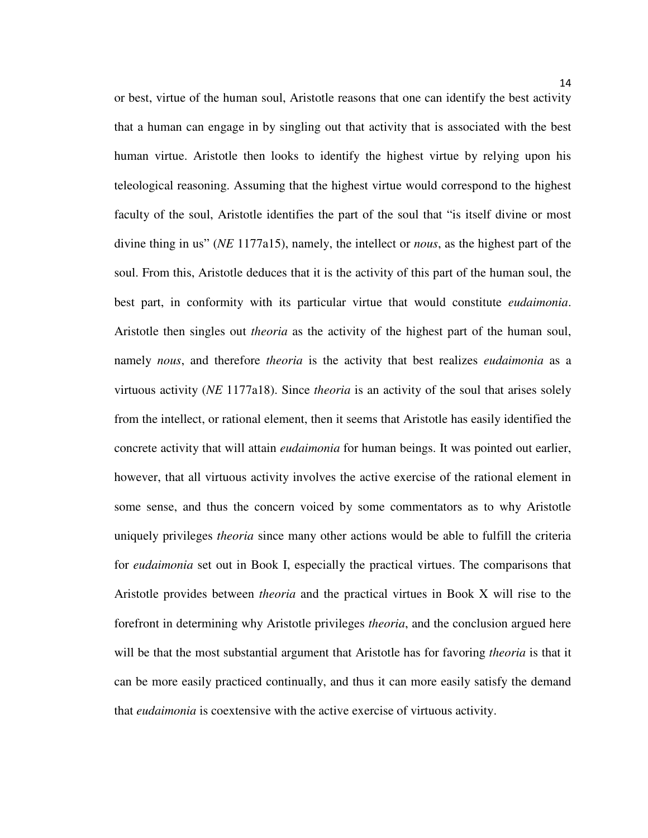or best, virtue of the human soul, Aristotle reasons that one can identify the best activity that a human can engage in by singling out that activity that is associated with the best human virtue. Aristotle then looks to identify the highest virtue by relying upon his teleological reasoning. Assuming that the highest virtue would correspond to the highest faculty of the soul, Aristotle identifies the part of the soul that "is itself divine or most divine thing in us" (*NE* 1177a15), namely, the intellect or *nous*, as the highest part of the soul. From this, Aristotle deduces that it is the activity of this part of the human soul, the best part, in conformity with its particular virtue that would constitute *eudaimonia*. Aristotle then singles out *theoria* as the activity of the highest part of the human soul, namely *nous*, and therefore *theoria* is the activity that best realizes *eudaimonia* as a virtuous activity (*NE* 1177a18). Since *theoria* is an activity of the soul that arises solely from the intellect, or rational element, then it seems that Aristotle has easily identified the concrete activity that will attain *eudaimonia* for human beings. It was pointed out earlier, however, that all virtuous activity involves the active exercise of the rational element in some sense, and thus the concern voiced by some commentators as to why Aristotle uniquely privileges *theoria* since many other actions would be able to fulfill the criteria for *eudaimonia* set out in Book I, especially the practical virtues. The comparisons that Aristotle provides between *theoria* and the practical virtues in Book X will rise to the forefront in determining why Aristotle privileges *theoria*, and the conclusion argued here will be that the most substantial argument that Aristotle has for favoring *theoria* is that it can be more easily practiced continually, and thus it can more easily satisfy the demand that *eudaimonia* is coextensive with the active exercise of virtuous activity.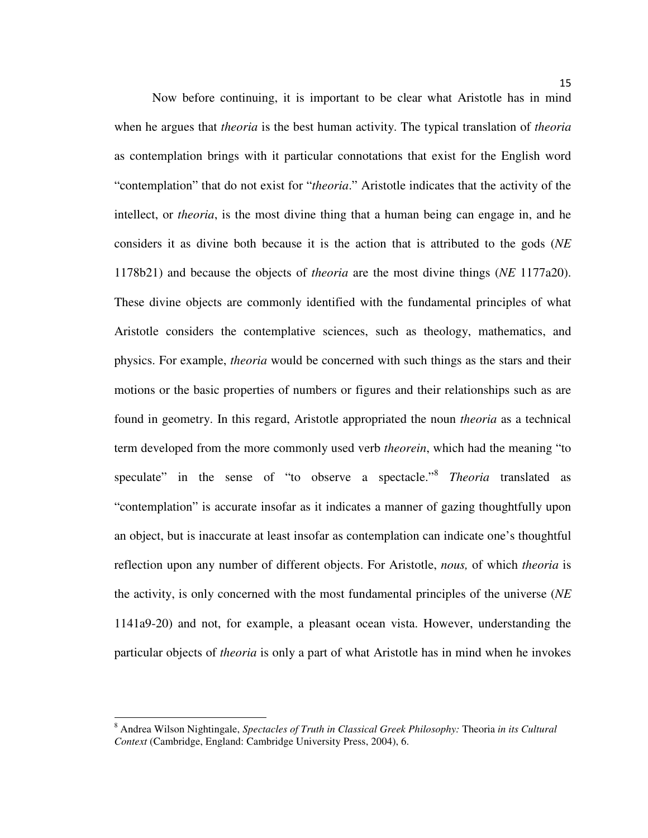Now before continuing, it is important to be clear what Aristotle has in mind when he argues that *theoria* is the best human activity. The typical translation of *theoria* as contemplation brings with it particular connotations that exist for the English word "contemplation" that do not exist for "*theoria*." Aristotle indicates that the activity of the intellect, or *theoria*, is the most divine thing that a human being can engage in, and he considers it as divine both because it is the action that is attributed to the gods (*NE* 1178b21) and because the objects of *theoria* are the most divine things (*NE* 1177a20). These divine objects are commonly identified with the fundamental principles of what Aristotle considers the contemplative sciences, such as theology, mathematics, and physics. For example, *theoria* would be concerned with such things as the stars and their motions or the basic properties of numbers or figures and their relationships such as are found in geometry. In this regard, Aristotle appropriated the noun *theoria* as a technical term developed from the more commonly used verb *theorein*, which had the meaning "to speculate" in the sense of "to observe a spectacle." 8 *Theoria* translated as "contemplation" is accurate insofar as it indicates a manner of gazing thoughtfully upon an object, but is inaccurate at least insofar as contemplation can indicate one's thoughtful reflection upon any number of different objects. For Aristotle, *nous,* of which *theoria* is the activity, is only concerned with the most fundamental principles of the universe (*NE* 1141a9-20) and not, for example, a pleasant ocean vista. However, understanding the particular objects of *theoria* is only a part of what Aristotle has in mind when he invokes

l

<sup>8</sup> Andrea Wilson Nightingale, *Spectacles of Truth in Classical Greek Philosophy:* Theoria *in its Cultural Context* (Cambridge, England: Cambridge University Press, 2004), 6.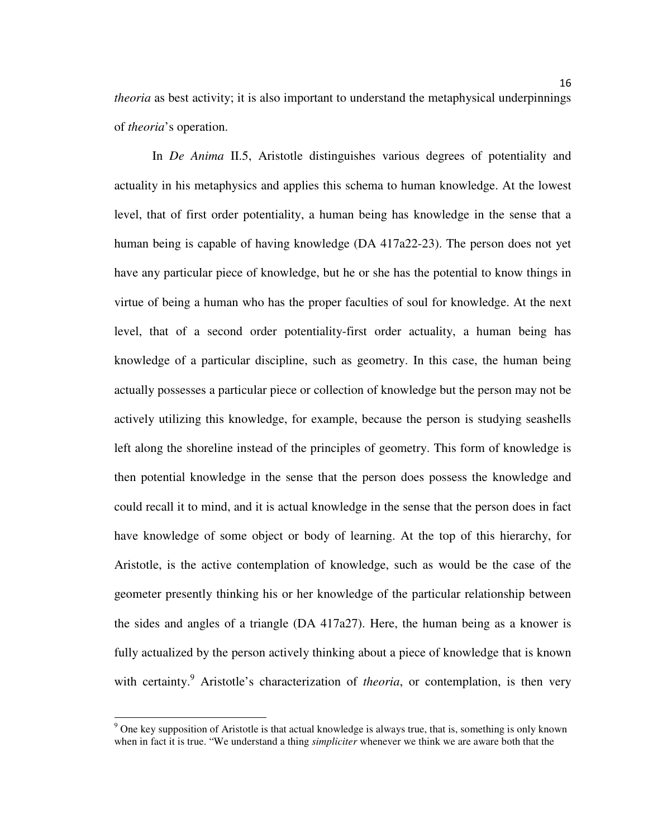*theoria* as best activity; it is also important to understand the metaphysical underpinnings of *theoria*'s operation.

In *De Anima* II.5, Aristotle distinguishes various degrees of potentiality and actuality in his metaphysics and applies this schema to human knowledge. At the lowest level, that of first order potentiality, a human being has knowledge in the sense that a human being is capable of having knowledge (DA 417a22-23). The person does not yet have any particular piece of knowledge, but he or she has the potential to know things in virtue of being a human who has the proper faculties of soul for knowledge. At the next level, that of a second order potentiality-first order actuality, a human being has knowledge of a particular discipline, such as geometry. In this case, the human being actually possesses a particular piece or collection of knowledge but the person may not be actively utilizing this knowledge, for example, because the person is studying seashells left along the shoreline instead of the principles of geometry. This form of knowledge is then potential knowledge in the sense that the person does possess the knowledge and could recall it to mind, and it is actual knowledge in the sense that the person does in fact have knowledge of some object or body of learning. At the top of this hierarchy, for Aristotle, is the active contemplation of knowledge, such as would be the case of the geometer presently thinking his or her knowledge of the particular relationship between the sides and angles of a triangle (DA 417a27). Here, the human being as a knower is fully actualized by the person actively thinking about a piece of knowledge that is known with certainty.<sup>9</sup> Aristotle's characterization of *theoria*, or contemplation, is then very

l

<sup>&</sup>lt;sup>9</sup> One key supposition of Aristotle is that actual knowledge is always true, that is, something is only known when in fact it is true. "We understand a thing *simpliciter* whenever we think we are aware both that the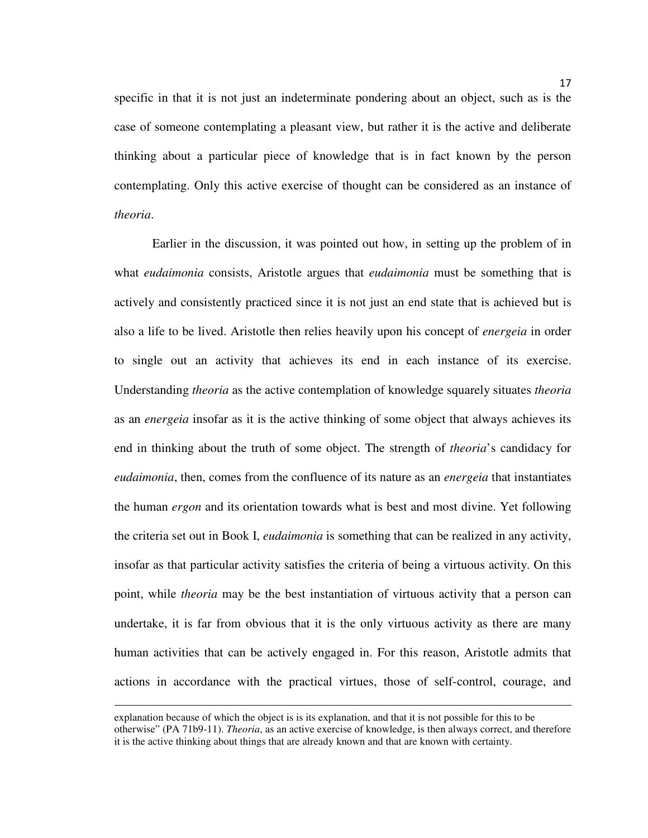specific in that it is not just an indeterminate pondering about an object, such as is the case of someone contemplating a pleasant view, but rather it is the active and deliberate thinking about a particular piece of knowledge that is in fact known by the person contemplating. Only this active exercise of thought can be considered as an instance of *theoria*.

 Earlier in the discussion, it was pointed out how, in setting up the problem of in what *eudaimonia* consists, Aristotle argues that *eudaimonia* must be something that is actively and consistently practiced since it is not just an end state that is achieved but is also a life to be lived. Aristotle then relies heavily upon his concept of *energeia* in order to single out an activity that achieves its end in each instance of its exercise. Understanding *theoria* as the active contemplation of knowledge squarely situates *theoria* as an *energeia* insofar as it is the active thinking of some object that always achieves its end in thinking about the truth of some object. The strength of *theoria*'s candidacy for *eudaimonia*, then, comes from the confluence of its nature as an *energeia* that instantiates the human *ergon* and its orientation towards what is best and most divine. Yet following the criteria set out in Book I, *eudaimonia* is something that can be realized in any activity, insofar as that particular activity satisfies the criteria of being a virtuous activity. On this point, while *theoria* may be the best instantiation of virtuous activity that a person can undertake, it is far from obvious that it is the only virtuous activity as there are many human activities that can be actively engaged in. For this reason, Aristotle admits that actions in accordance with the practical virtues, those of self-control, courage, and

explanation because of which the object is is its explanation, and that it is not possible for this to be otherwise" (PA 71b9-11). *Theoria*, as an active exercise of knowledge, is then always correct, and therefore it is the active thinking about things that are already known and that are known with certainty.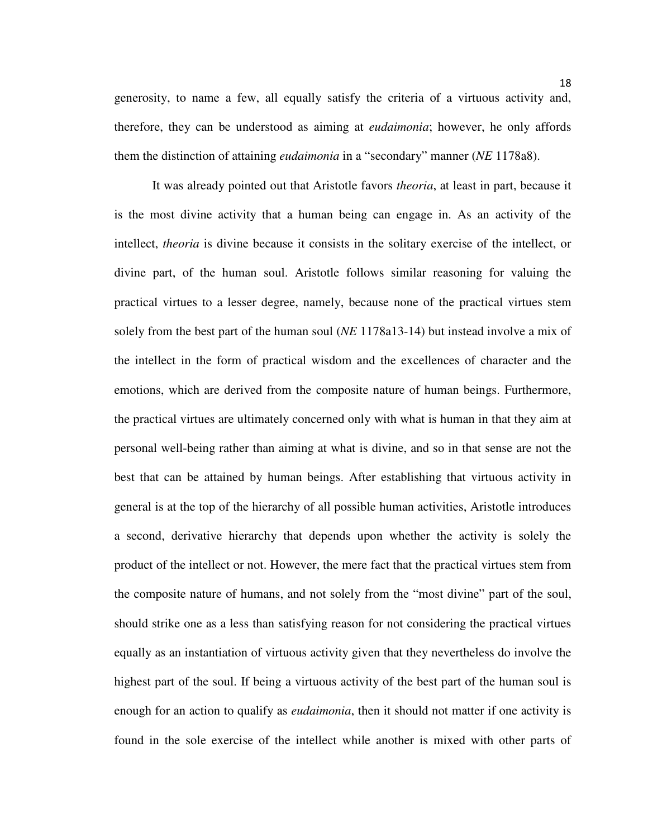generosity, to name a few, all equally satisfy the criteria of a virtuous activity and, therefore, they can be understood as aiming at *eudaimonia*; however, he only affords them the distinction of attaining *eudaimonia* in a "secondary" manner (*NE* 1178a8).

 It was already pointed out that Aristotle favors *theoria*, at least in part, because it is the most divine activity that a human being can engage in. As an activity of the intellect, *theoria* is divine because it consists in the solitary exercise of the intellect, or divine part, of the human soul. Aristotle follows similar reasoning for valuing the practical virtues to a lesser degree, namely, because none of the practical virtues stem solely from the best part of the human soul (*NE* 1178a13-14) but instead involve a mix of the intellect in the form of practical wisdom and the excellences of character and the emotions, which are derived from the composite nature of human beings. Furthermore, the practical virtues are ultimately concerned only with what is human in that they aim at personal well-being rather than aiming at what is divine, and so in that sense are not the best that can be attained by human beings. After establishing that virtuous activity in general is at the top of the hierarchy of all possible human activities, Aristotle introduces a second, derivative hierarchy that depends upon whether the activity is solely the product of the intellect or not. However, the mere fact that the practical virtues stem from the composite nature of humans, and not solely from the "most divine" part of the soul, should strike one as a less than satisfying reason for not considering the practical virtues equally as an instantiation of virtuous activity given that they nevertheless do involve the highest part of the soul. If being a virtuous activity of the best part of the human soul is enough for an action to qualify as *eudaimonia*, then it should not matter if one activity is found in the sole exercise of the intellect while another is mixed with other parts of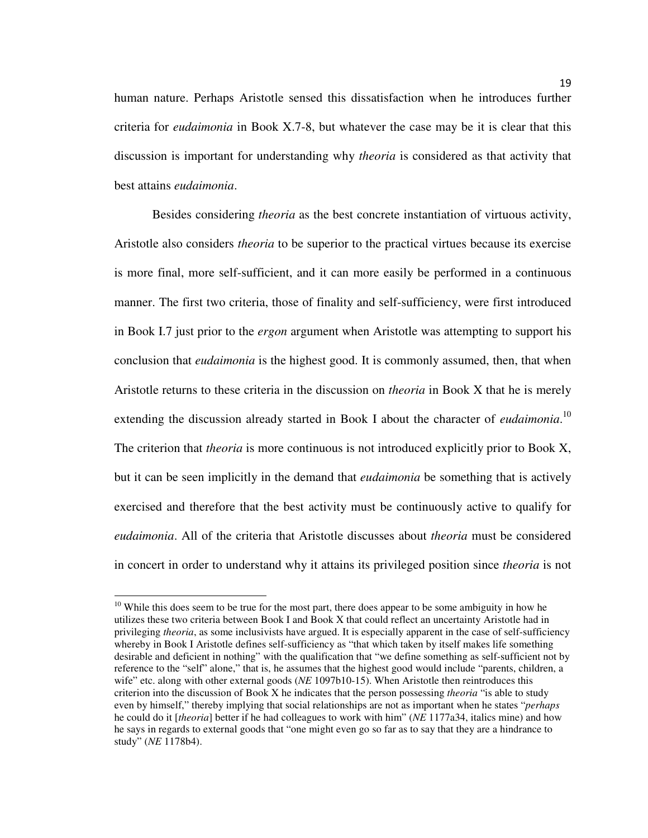human nature. Perhaps Aristotle sensed this dissatisfaction when he introduces further criteria for *eudaimonia* in Book X.7-8, but whatever the case may be it is clear that this discussion is important for understanding why *theoria* is considered as that activity that best attains *eudaimonia*.

Besides considering *theoria* as the best concrete instantiation of virtuous activity, Aristotle also considers *theoria* to be superior to the practical virtues because its exercise is more final, more self-sufficient, and it can more easily be performed in a continuous manner. The first two criteria, those of finality and self-sufficiency, were first introduced in Book I.7 just prior to the *ergon* argument when Aristotle was attempting to support his conclusion that *eudaimonia* is the highest good. It is commonly assumed, then, that when Aristotle returns to these criteria in the discussion on *theoria* in Book X that he is merely extending the discussion already started in Book I about the character of *eudaimonia*. 10 The criterion that *theoria* is more continuous is not introduced explicitly prior to Book X, but it can be seen implicitly in the demand that *eudaimonia* be something that is actively exercised and therefore that the best activity must be continuously active to qualify for *eudaimonia*. All of the criteria that Aristotle discusses about *theoria* must be considered in concert in order to understand why it attains its privileged position since *theoria* is not

l

<sup>&</sup>lt;sup>10</sup> While this does seem to be true for the most part, there does appear to be some ambiguity in how he utilizes these two criteria between Book I and Book X that could reflect an uncertainty Aristotle had in privileging *theoria*, as some inclusivists have argued. It is especially apparent in the case of self-sufficiency whereby in Book I Aristotle defines self-sufficiency as "that which taken by itself makes life something desirable and deficient in nothing" with the qualification that "we define something as self-sufficient not by reference to the "self" alone," that is, he assumes that the highest good would include "parents, children, a wife" etc. along with other external goods (*NE* 1097b10-15). When Aristotle then reintroduces this criterion into the discussion of Book X he indicates that the person possessing *theoria* "is able to study even by himself," thereby implying that social relationships are not as important when he states "*perhaps* he could do it [*theoria*] better if he had colleagues to work with him" (*NE* 1177a34, italics mine) and how he says in regards to external goods that "one might even go so far as to say that they are a hindrance to study" (*NE* 1178b4).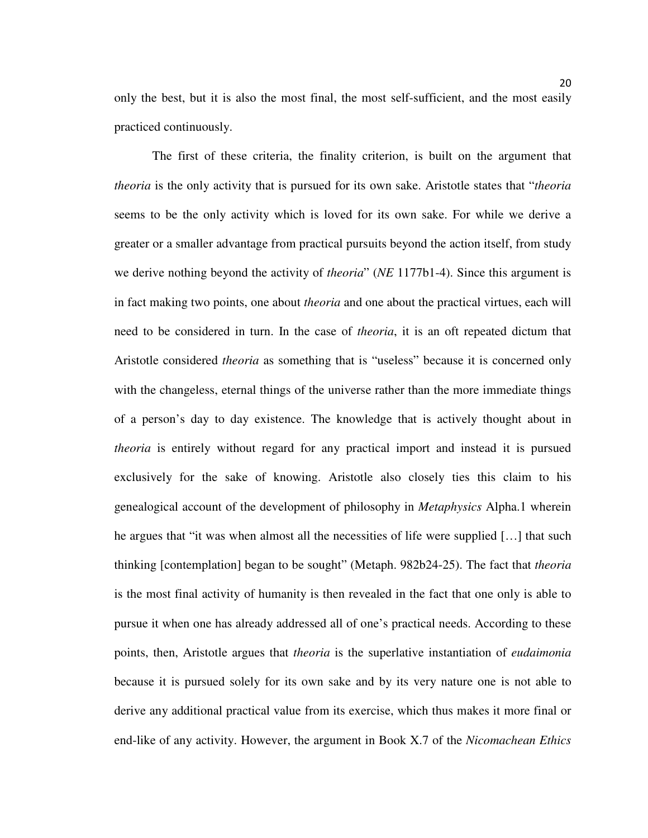only the best, but it is also the most final, the most self-sufficient, and the most easily practiced continuously.

The first of these criteria, the finality criterion, is built on the argument that *theoria* is the only activity that is pursued for its own sake. Aristotle states that "*theoria* seems to be the only activity which is loved for its own sake. For while we derive a greater or a smaller advantage from practical pursuits beyond the action itself, from study we derive nothing beyond the activity of *theoria*" (*NE* 1177b1-4). Since this argument is in fact making two points, one about *theoria* and one about the practical virtues, each will need to be considered in turn. In the case of *theoria*, it is an oft repeated dictum that Aristotle considered *theoria* as something that is "useless" because it is concerned only with the changeless, eternal things of the universe rather than the more immediate things of a person's day to day existence. The knowledge that is actively thought about in *theoria* is entirely without regard for any practical import and instead it is pursued exclusively for the sake of knowing. Aristotle also closely ties this claim to his genealogical account of the development of philosophy in *Metaphysics* Alpha.1 wherein he argues that "it was when almost all the necessities of life were supplied […] that such thinking [contemplation] began to be sought" (Metaph. 982b24-25). The fact that *theoria* is the most final activity of humanity is then revealed in the fact that one only is able to pursue it when one has already addressed all of one's practical needs. According to these points, then, Aristotle argues that *theoria* is the superlative instantiation of *eudaimonia* because it is pursued solely for its own sake and by its very nature one is not able to derive any additional practical value from its exercise, which thus makes it more final or end-like of any activity. However, the argument in Book X.7 of the *Nicomachean Ethics*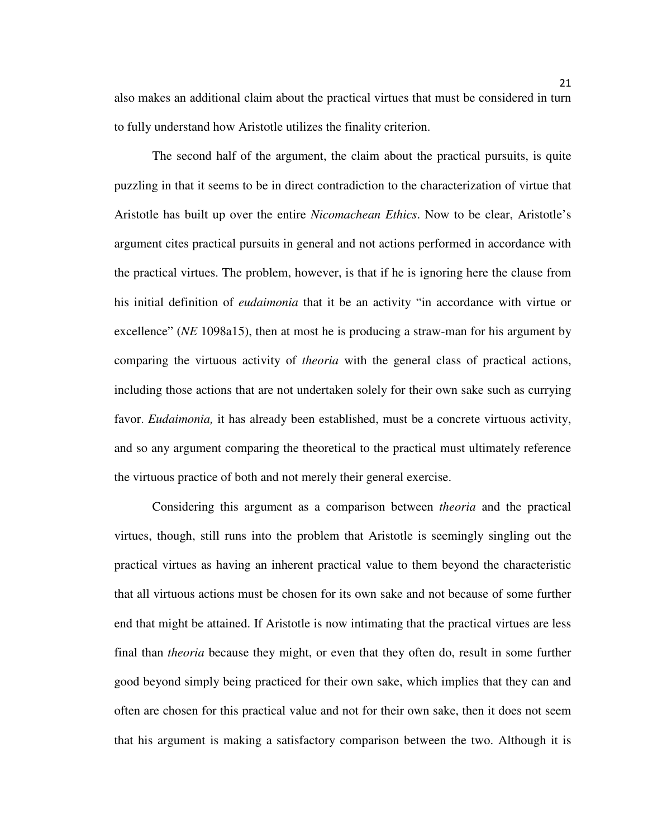also makes an additional claim about the practical virtues that must be considered in turn to fully understand how Aristotle utilizes the finality criterion.

The second half of the argument, the claim about the practical pursuits, is quite puzzling in that it seems to be in direct contradiction to the characterization of virtue that Aristotle has built up over the entire *Nicomachean Ethics*. Now to be clear, Aristotle's argument cites practical pursuits in general and not actions performed in accordance with the practical virtues. The problem, however, is that if he is ignoring here the clause from his initial definition of *eudaimonia* that it be an activity "in accordance with virtue or excellence" (*NE* 1098a15), then at most he is producing a straw-man for his argument by comparing the virtuous activity of *theoria* with the general class of practical actions, including those actions that are not undertaken solely for their own sake such as currying favor. *Eudaimonia*, it has already been established, must be a concrete virtuous activity, and so any argument comparing the theoretical to the practical must ultimately reference the virtuous practice of both and not merely their general exercise.

Considering this argument as a comparison between *theoria* and the practical virtues, though, still runs into the problem that Aristotle is seemingly singling out the practical virtues as having an inherent practical value to them beyond the characteristic that all virtuous actions must be chosen for its own sake and not because of some further end that might be attained. If Aristotle is now intimating that the practical virtues are less final than *theoria* because they might, or even that they often do, result in some further good beyond simply being practiced for their own sake, which implies that they can and often are chosen for this practical value and not for their own sake, then it does not seem that his argument is making a satisfactory comparison between the two. Although it is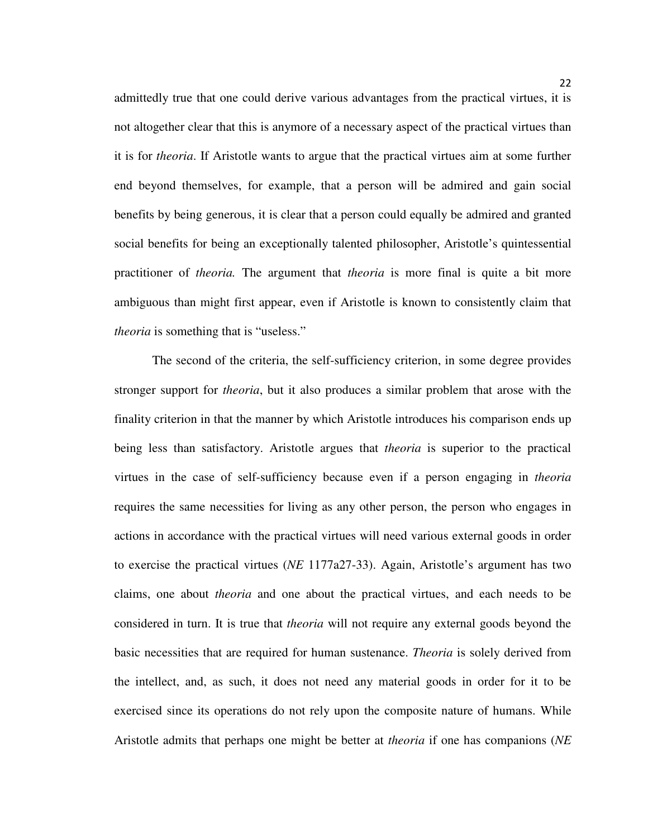admittedly true that one could derive various advantages from the practical virtues, it is not altogether clear that this is anymore of a necessary aspect of the practical virtues than it is for *theoria*. If Aristotle wants to argue that the practical virtues aim at some further end beyond themselves, for example, that a person will be admired and gain social benefits by being generous, it is clear that a person could equally be admired and granted social benefits for being an exceptionally talented philosopher, Aristotle's quintessential practitioner of *theoria.* The argument that *theoria* is more final is quite a bit more ambiguous than might first appear, even if Aristotle is known to consistently claim that *theoria* is something that is "useless."

The second of the criteria, the self-sufficiency criterion, in some degree provides stronger support for *theoria*, but it also produces a similar problem that arose with the finality criterion in that the manner by which Aristotle introduces his comparison ends up being less than satisfactory. Aristotle argues that *theoria* is superior to the practical virtues in the case of self-sufficiency because even if a person engaging in *theoria* requires the same necessities for living as any other person, the person who engages in actions in accordance with the practical virtues will need various external goods in order to exercise the practical virtues (*NE* 1177a27-33). Again, Aristotle's argument has two claims, one about *theoria* and one about the practical virtues, and each needs to be considered in turn. It is true that *theoria* will not require any external goods beyond the basic necessities that are required for human sustenance. *Theoria* is solely derived from the intellect, and, as such, it does not need any material goods in order for it to be exercised since its operations do not rely upon the composite nature of humans. While Aristotle admits that perhaps one might be better at *theoria* if one has companions (*NE*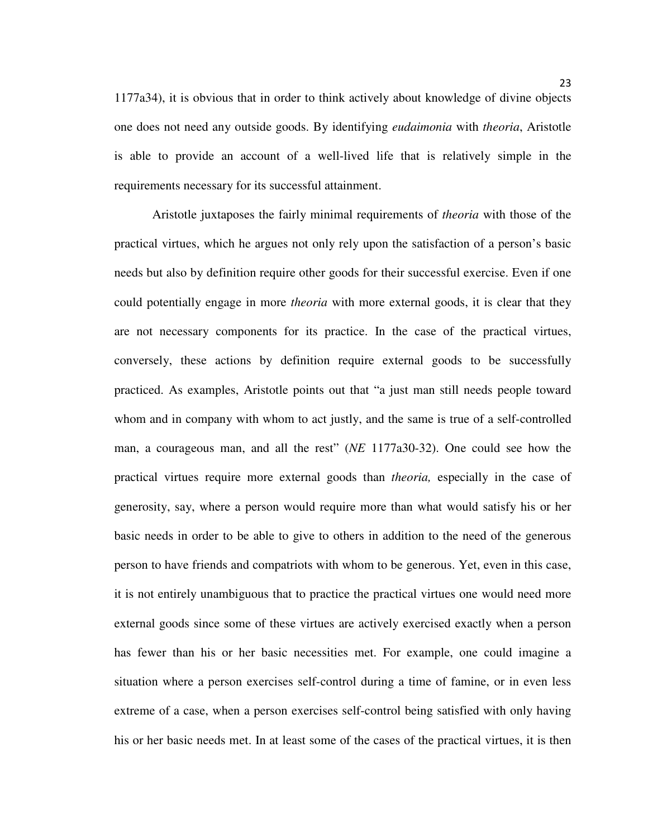1177a34), it is obvious that in order to think actively about knowledge of divine objects one does not need any outside goods. By identifying *eudaimonia* with *theoria*, Aristotle is able to provide an account of a well-lived life that is relatively simple in the requirements necessary for its successful attainment.

Aristotle juxtaposes the fairly minimal requirements of *theoria* with those of the practical virtues, which he argues not only rely upon the satisfaction of a person's basic needs but also by definition require other goods for their successful exercise. Even if one could potentially engage in more *theoria* with more external goods, it is clear that they are not necessary components for its practice. In the case of the practical virtues, conversely, these actions by definition require external goods to be successfully practiced. As examples, Aristotle points out that "a just man still needs people toward whom and in company with whom to act justly, and the same is true of a self-controlled man, a courageous man, and all the rest" (*NE* 1177a30-32). One could see how the practical virtues require more external goods than *theoria,* especially in the case of generosity, say, where a person would require more than what would satisfy his or her basic needs in order to be able to give to others in addition to the need of the generous person to have friends and compatriots with whom to be generous. Yet, even in this case, it is not entirely unambiguous that to practice the practical virtues one would need more external goods since some of these virtues are actively exercised exactly when a person has fewer than his or her basic necessities met. For example, one could imagine a situation where a person exercises self-control during a time of famine, or in even less extreme of a case, when a person exercises self-control being satisfied with only having his or her basic needs met. In at least some of the cases of the practical virtues, it is then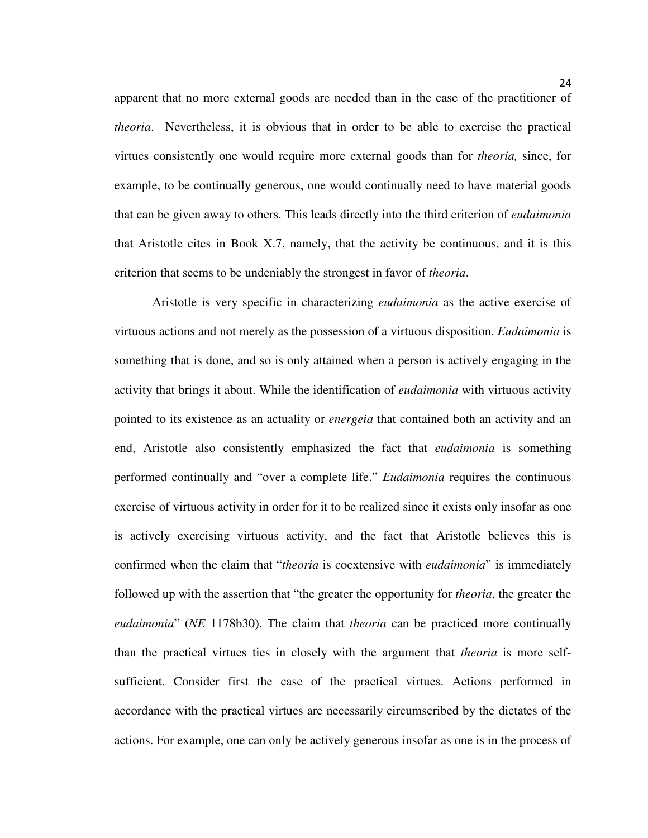apparent that no more external goods are needed than in the case of the practitioner of *theoria*. Nevertheless, it is obvious that in order to be able to exercise the practical virtues consistently one would require more external goods than for *theoria,* since, for example, to be continually generous, one would continually need to have material goods that can be given away to others. This leads directly into the third criterion of *eudaimonia* that Aristotle cites in Book X.7, namely, that the activity be continuous, and it is this criterion that seems to be undeniably the strongest in favor of *theoria*.

 Aristotle is very specific in characterizing *eudaimonia* as the active exercise of virtuous actions and not merely as the possession of a virtuous disposition. *Eudaimonia* is something that is done, and so is only attained when a person is actively engaging in the activity that brings it about. While the identification of *eudaimonia* with virtuous activity pointed to its existence as an actuality or *energeia* that contained both an activity and an end, Aristotle also consistently emphasized the fact that *eudaimonia* is something performed continually and "over a complete life." *Eudaimonia* requires the continuous exercise of virtuous activity in order for it to be realized since it exists only insofar as one is actively exercising virtuous activity, and the fact that Aristotle believes this is confirmed when the claim that "*theoria* is coextensive with *eudaimonia*" is immediately followed up with the assertion that "the greater the opportunity for *theoria*, the greater the *eudaimonia*" (*NE* 1178b30). The claim that *theoria* can be practiced more continually than the practical virtues ties in closely with the argument that *theoria* is more selfsufficient. Consider first the case of the practical virtues. Actions performed in accordance with the practical virtues are necessarily circumscribed by the dictates of the actions. For example, one can only be actively generous insofar as one is in the process of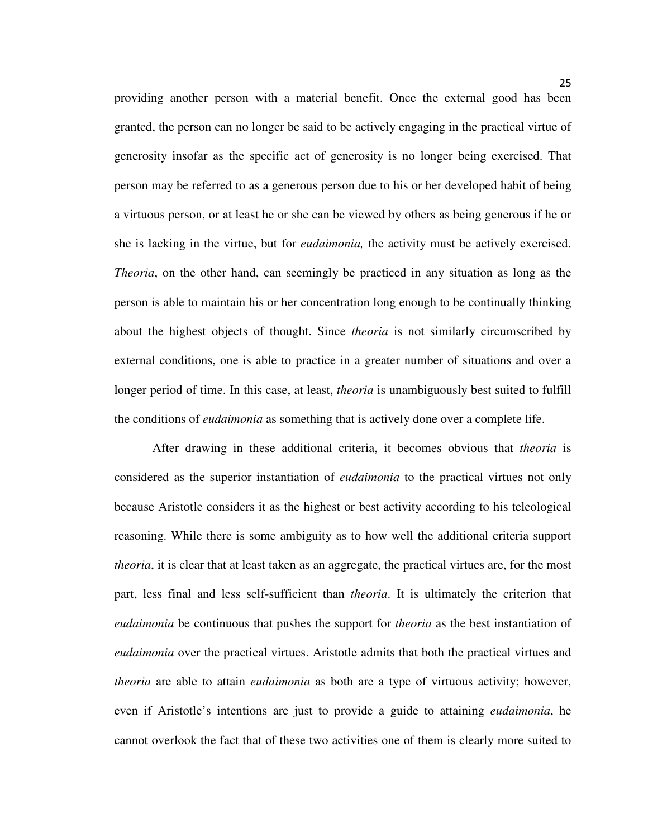providing another person with a material benefit. Once the external good has been granted, the person can no longer be said to be actively engaging in the practical virtue of generosity insofar as the specific act of generosity is no longer being exercised. That person may be referred to as a generous person due to his or her developed habit of being a virtuous person, or at least he or she can be viewed by others as being generous if he or she is lacking in the virtue, but for *eudaimonia,* the activity must be actively exercised. *Theoria*, on the other hand, can seemingly be practiced in any situation as long as the person is able to maintain his or her concentration long enough to be continually thinking about the highest objects of thought. Since *theoria* is not similarly circumscribed by external conditions, one is able to practice in a greater number of situations and over a longer period of time. In this case, at least, *theoria* is unambiguously best suited to fulfill the conditions of *eudaimonia* as something that is actively done over a complete life.

 After drawing in these additional criteria, it becomes obvious that *theoria* is considered as the superior instantiation of *eudaimonia* to the practical virtues not only because Aristotle considers it as the highest or best activity according to his teleological reasoning. While there is some ambiguity as to how well the additional criteria support *theoria*, it is clear that at least taken as an aggregate, the practical virtues are, for the most part, less final and less self-sufficient than *theoria*. It is ultimately the criterion that *eudaimonia* be continuous that pushes the support for *theoria* as the best instantiation of *eudaimonia* over the practical virtues. Aristotle admits that both the practical virtues and *theoria* are able to attain *eudaimonia* as both are a type of virtuous activity; however, even if Aristotle's intentions are just to provide a guide to attaining *eudaimonia*, he cannot overlook the fact that of these two activities one of them is clearly more suited to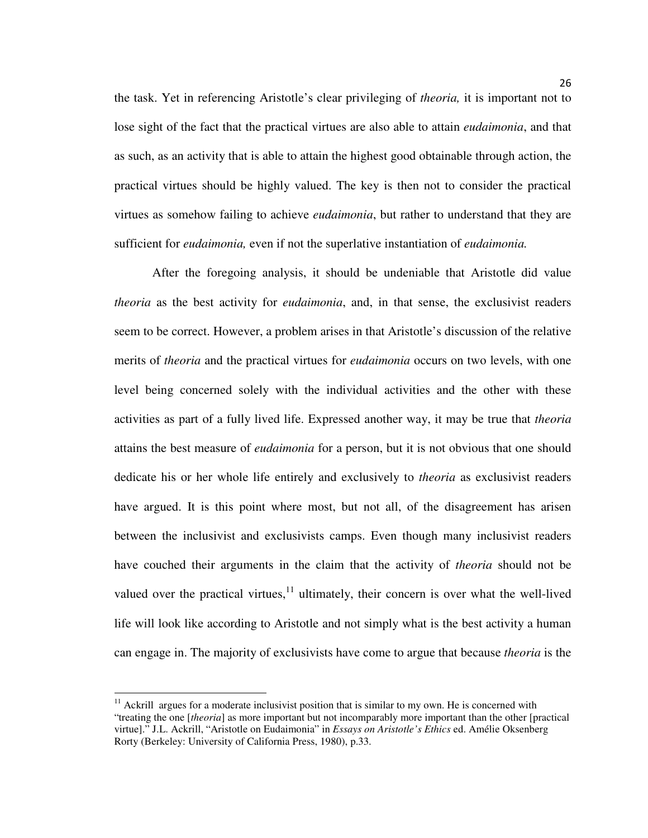the task. Yet in referencing Aristotle's clear privileging of *theoria,* it is important not to lose sight of the fact that the practical virtues are also able to attain *eudaimonia*, and that as such, as an activity that is able to attain the highest good obtainable through action, the practical virtues should be highly valued. The key is then not to consider the practical virtues as somehow failing to achieve *eudaimonia*, but rather to understand that they are sufficient for *eudaimonia,* even if not the superlative instantiation of *eudaimonia.*

After the foregoing analysis, it should be undeniable that Aristotle did value *theoria* as the best activity for *eudaimonia*, and, in that sense, the exclusivist readers seem to be correct. However, a problem arises in that Aristotle's discussion of the relative merits of *theoria* and the practical virtues for *eudaimonia* occurs on two levels, with one level being concerned solely with the individual activities and the other with these activities as part of a fully lived life. Expressed another way, it may be true that *theoria* attains the best measure of *eudaimonia* for a person, but it is not obvious that one should dedicate his or her whole life entirely and exclusively to *theoria* as exclusivist readers have argued. It is this point where most, but not all, of the disagreement has arisen between the inclusivist and exclusivists camps. Even though many inclusivist readers have couched their arguments in the claim that the activity of *theoria* should not be valued over the practical virtues, $11$  ultimately, their concern is over what the well-lived life will look like according to Aristotle and not simply what is the best activity a human can engage in. The majority of exclusivists have come to argue that because *theoria* is the

 $11$  Ackrill argues for a moderate inclusivist position that is similar to my own. He is concerned with "treating the one [*theoria*] as more important but not incomparably more important than the other [practical virtue]." J.L. Ackrill, "Aristotle on Eudaimonia" in *Essays on Aristotle's Ethics* ed. Amélie Oksenberg Rorty (Berkeley: University of California Press, 1980), p.33.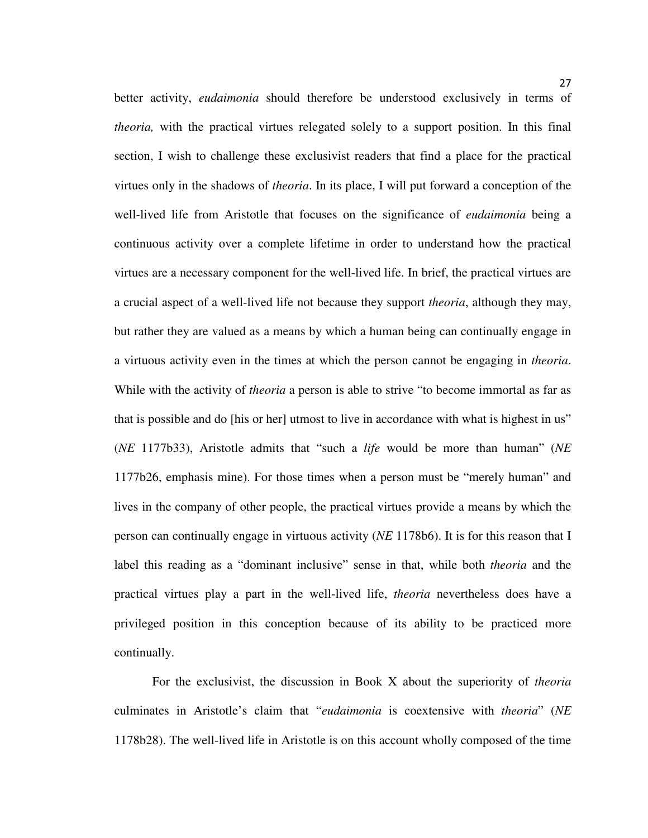better activity, *eudaimonia* should therefore be understood exclusively in terms of *theoria,* with the practical virtues relegated solely to a support position. In this final section, I wish to challenge these exclusivist readers that find a place for the practical virtues only in the shadows of *theoria*. In its place, I will put forward a conception of the well-lived life from Aristotle that focuses on the significance of *eudaimonia* being a continuous activity over a complete lifetime in order to understand how the practical virtues are a necessary component for the well-lived life. In brief, the practical virtues are a crucial aspect of a well-lived life not because they support *theoria*, although they may, but rather they are valued as a means by which a human being can continually engage in a virtuous activity even in the times at which the person cannot be engaging in *theoria*. While with the activity of *theoria* a person is able to strive "to become immortal as far as that is possible and do [his or her] utmost to live in accordance with what is highest in us" (*NE* 1177b33), Aristotle admits that "such a *life* would be more than human" (*NE* 1177b26, emphasis mine). For those times when a person must be "merely human" and lives in the company of other people, the practical virtues provide a means by which the person can continually engage in virtuous activity (*NE* 1178b6). It is for this reason that I label this reading as a "dominant inclusive" sense in that, while both *theoria* and the practical virtues play a part in the well-lived life, *theoria* nevertheless does have a privileged position in this conception because of its ability to be practiced more continually.

For the exclusivist, the discussion in Book X about the superiority of *theoria* culminates in Aristotle's claim that "*eudaimonia* is coextensive with *theoria*" (*NE* 1178b28). The well-lived life in Aristotle is on this account wholly composed of the time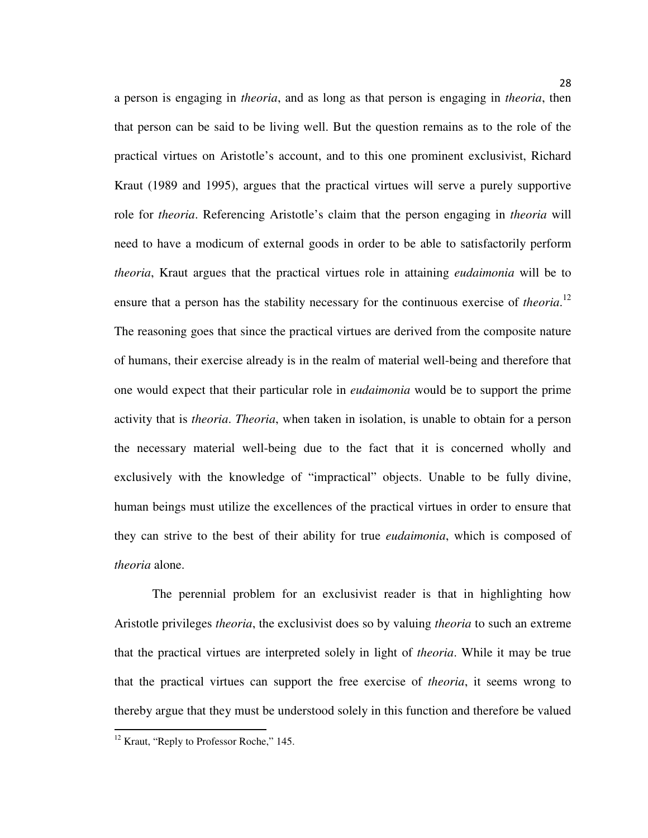a person is engaging in *theoria*, and as long as that person is engaging in *theoria*, then that person can be said to be living well. But the question remains as to the role of the practical virtues on Aristotle's account, and to this one prominent exclusivist, Richard Kraut (1989 and 1995), argues that the practical virtues will serve a purely supportive role for *theoria*. Referencing Aristotle's claim that the person engaging in *theoria* will need to have a modicum of external goods in order to be able to satisfactorily perform *theoria*, Kraut argues that the practical virtues role in attaining *eudaimonia* will be to ensure that a person has the stability necessary for the continuous exercise of *theoria*.<sup>12</sup> The reasoning goes that since the practical virtues are derived from the composite nature of humans, their exercise already is in the realm of material well-being and therefore that one would expect that their particular role in *eudaimonia* would be to support the prime activity that is *theoria*. *Theoria*, when taken in isolation, is unable to obtain for a person the necessary material well-being due to the fact that it is concerned wholly and exclusively with the knowledge of "impractical" objects. Unable to be fully divine, human beings must utilize the excellences of the practical virtues in order to ensure that they can strive to the best of their ability for true *eudaimonia*, which is composed of *theoria* alone.

The perennial problem for an exclusivist reader is that in highlighting how Aristotle privileges *theoria*, the exclusivist does so by valuing *theoria* to such an extreme that the practical virtues are interpreted solely in light of *theoria*. While it may be true that the practical virtues can support the free exercise of *theoria*, it seems wrong to thereby argue that they must be understood solely in this function and therefore be valued

<sup>&</sup>lt;sup>12</sup> Kraut, "Reply to Professor Roche," 145.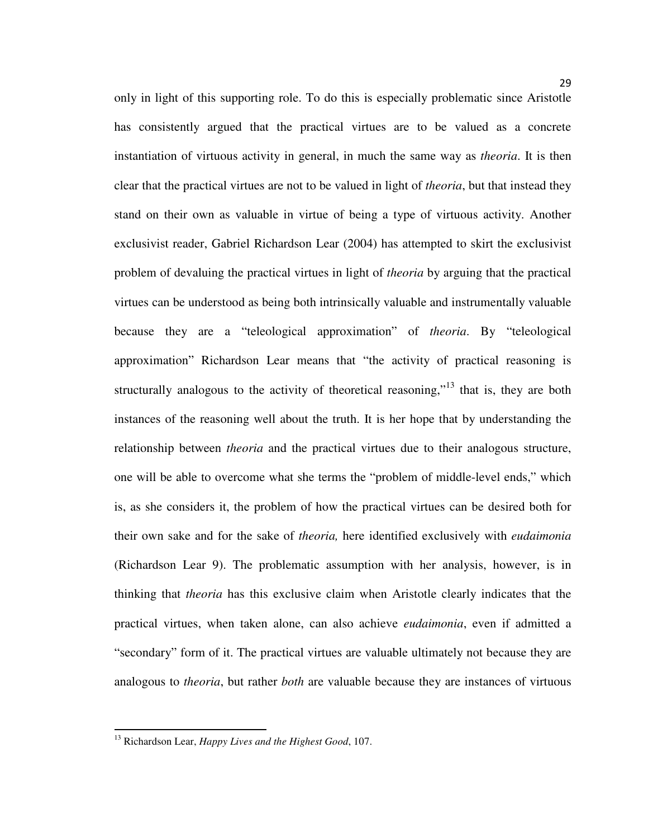only in light of this supporting role. To do this is especially problematic since Aristotle has consistently argued that the practical virtues are to be valued as a concrete instantiation of virtuous activity in general, in much the same way as *theoria*. It is then clear that the practical virtues are not to be valued in light of *theoria*, but that instead they stand on their own as valuable in virtue of being a type of virtuous activity. Another exclusivist reader, Gabriel Richardson Lear (2004) has attempted to skirt the exclusivist problem of devaluing the practical virtues in light of *theoria* by arguing that the practical virtues can be understood as being both intrinsically valuable and instrumentally valuable because they are a "teleological approximation" of *theoria*. By "teleological approximation" Richardson Lear means that "the activity of practical reasoning is structurally analogous to the activity of theoretical reasoning,"<sup>13</sup> that is, they are both instances of the reasoning well about the truth. It is her hope that by understanding the relationship between *theoria* and the practical virtues due to their analogous structure, one will be able to overcome what she terms the "problem of middle-level ends," which is, as she considers it, the problem of how the practical virtues can be desired both for their own sake and for the sake of *theoria,* here identified exclusively with *eudaimonia*  (Richardson Lear 9). The problematic assumption with her analysis, however, is in thinking that *theoria* has this exclusive claim when Aristotle clearly indicates that the practical virtues, when taken alone, can also achieve *eudaimonia*, even if admitted a "secondary" form of it. The practical virtues are valuable ultimately not because they are analogous to *theoria*, but rather *both* are valuable because they are instances of virtuous

<sup>13</sup> Richardson Lear, *Happy Lives and the Highest Good*, 107.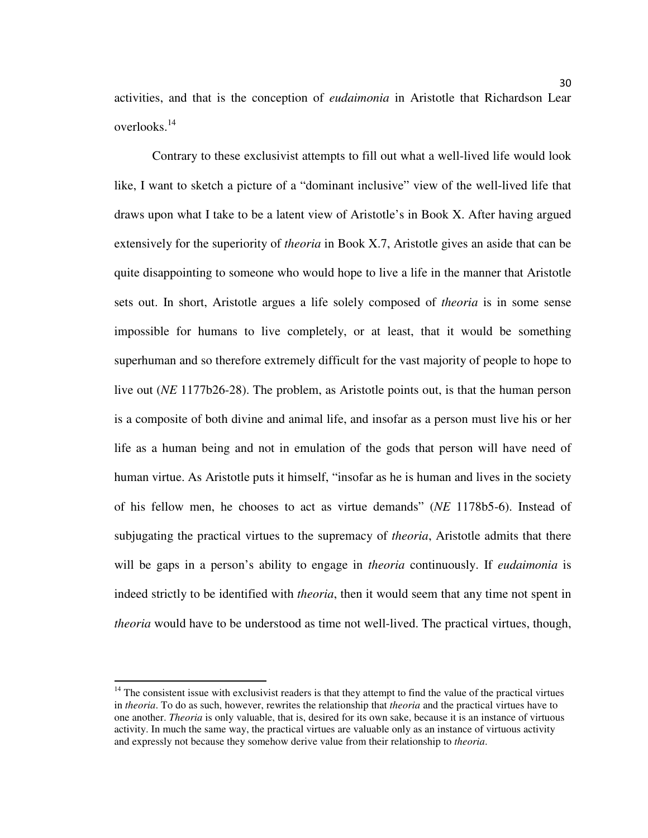activities, and that is the conception of *eudaimonia* in Aristotle that Richardson Lear overlooks.<sup>14</sup>

Contrary to these exclusivist attempts to fill out what a well-lived life would look like, I want to sketch a picture of a "dominant inclusive" view of the well-lived life that draws upon what I take to be a latent view of Aristotle's in Book X. After having argued extensively for the superiority of *theoria* in Book X.7, Aristotle gives an aside that can be quite disappointing to someone who would hope to live a life in the manner that Aristotle sets out. In short, Aristotle argues a life solely composed of *theoria* is in some sense impossible for humans to live completely, or at least, that it would be something superhuman and so therefore extremely difficult for the vast majority of people to hope to live out (*NE* 1177b26-28). The problem, as Aristotle points out, is that the human person is a composite of both divine and animal life, and insofar as a person must live his or her life as a human being and not in emulation of the gods that person will have need of human virtue. As Aristotle puts it himself, "insofar as he is human and lives in the society of his fellow men, he chooses to act as virtue demands" (*NE* 1178b5-6). Instead of subjugating the practical virtues to the supremacy of *theoria*, Aristotle admits that there will be gaps in a person's ability to engage in *theoria* continuously. If *eudaimonia* is indeed strictly to be identified with *theoria*, then it would seem that any time not spent in *theoria* would have to be understood as time not well-lived. The practical virtues, though,

 $14$  The consistent issue with exclusivist readers is that they attempt to find the value of the practical virtues in *theoria*. To do as such, however, rewrites the relationship that *theoria* and the practical virtues have to one another. *Theoria* is only valuable, that is, desired for its own sake, because it is an instance of virtuous activity. In much the same way, the practical virtues are valuable only as an instance of virtuous activity and expressly not because they somehow derive value from their relationship to *theoria*.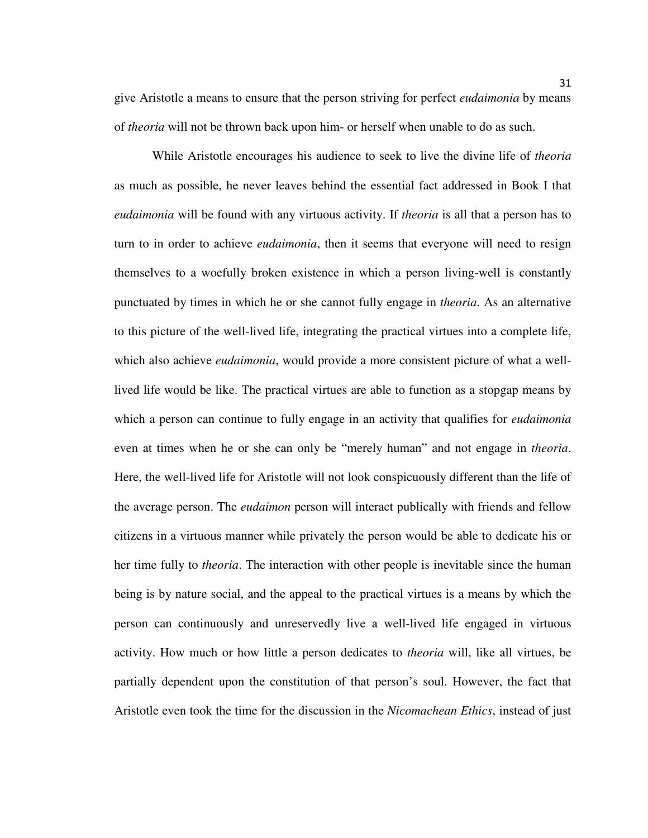give Aristotle a means to ensure that the person striving for perfect *eudaimonia* by means of *theoria* will not be thrown back upon him- or herself when unable to do as such.

While Aristotle encourages his audience to seek to live the divine life of *theoria* as much as possible, he never leaves behind the essential fact addressed in Book I that *eudaimonia* will be found with any virtuous activity. If *theoria* is all that a person has to turn to in order to achieve *eudaimonia*, then it seems that everyone will need to resign themselves to a woefully broken existence in which a person living-well is constantly punctuated by times in which he or she cannot fully engage in *theoria*. As an alternative to this picture of the well-lived life, integrating the practical virtues into a complete life, which also achieve *eudaimonia*, would provide a more consistent picture of what a welllived life would be like. The practical virtues are able to function as a stopgap means by which a person can continue to fully engage in an activity that qualifies for *eudaimonia* even at times when he or she can only be "merely human" and not engage in *theoria*. Here, the well-lived life for Aristotle will not look conspicuously different than the life of the average person. The *eudaimon* person will interact publically with friends and fellow citizens in a virtuous manner while privately the person would be able to dedicate his or her time fully to *theoria*. The interaction with other people is inevitable since the human being is by nature social, and the appeal to the practical virtues is a means by which the person can continuously and unreservedly live a well-lived life engaged in virtuous activity. How much or how little a person dedicates to *theoria* will, like all virtues, be partially dependent upon the constitution of that person's soul. However, the fact that Aristotle even took the time for the discussion in the *Nicomachean Ethics*, instead of just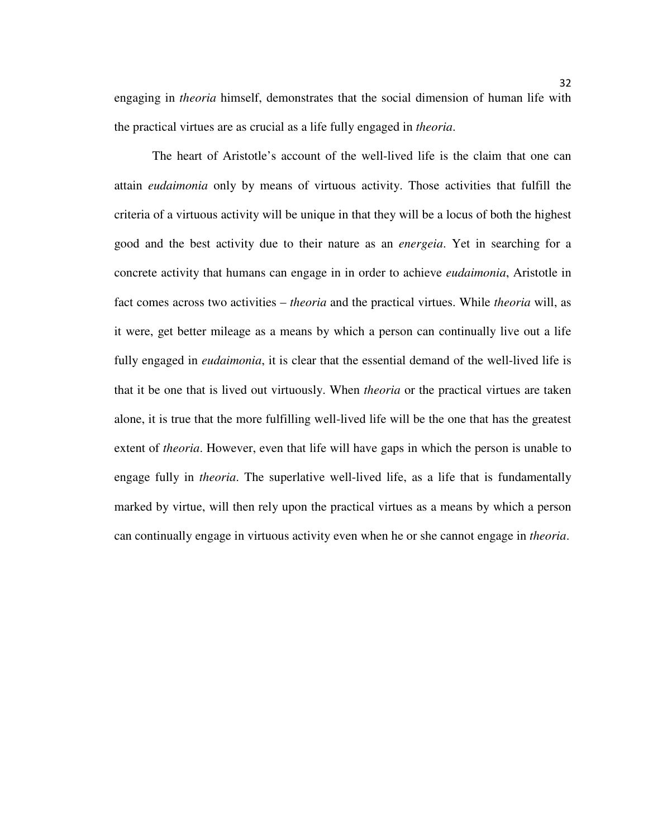engaging in *theoria* himself, demonstrates that the social dimension of human life with the practical virtues are as crucial as a life fully engaged in *theoria*.

The heart of Aristotle's account of the well-lived life is the claim that one can attain *eudaimonia* only by means of virtuous activity. Those activities that fulfill the criteria of a virtuous activity will be unique in that they will be a locus of both the highest good and the best activity due to their nature as an *energeia*. Yet in searching for a concrete activity that humans can engage in in order to achieve *eudaimonia*, Aristotle in fact comes across two activities – *theoria* and the practical virtues. While *theoria* will, as it were, get better mileage as a means by which a person can continually live out a life fully engaged in *eudaimonia*, it is clear that the essential demand of the well-lived life is that it be one that is lived out virtuously. When *theoria* or the practical virtues are taken alone, it is true that the more fulfilling well-lived life will be the one that has the greatest extent of *theoria*. However, even that life will have gaps in which the person is unable to engage fully in *theoria*. The superlative well-lived life, as a life that is fundamentally marked by virtue, will then rely upon the practical virtues as a means by which a person can continually engage in virtuous activity even when he or she cannot engage in *theoria*.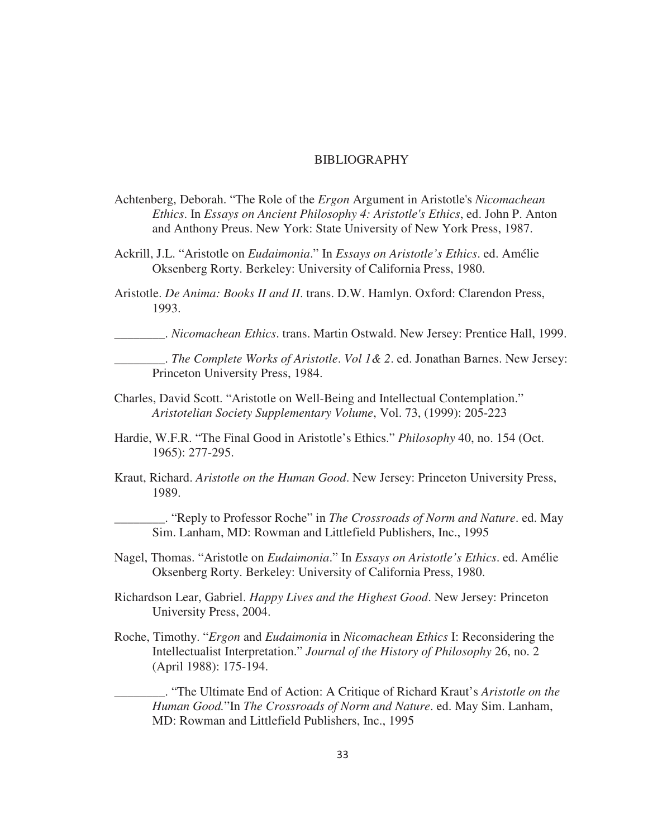#### BIBLIOGRAPHY

- Achtenberg, Deborah. "The Role of the *Ergon* Argument in Aristotle's *Nicomachean Ethics*. In *Essays on Ancient Philosophy 4: Aristotle's Ethics*, ed. John P. Anton and Anthony Preus. New York: State University of New York Press, 1987.
- Ackrill, J.L. "Aristotle on *Eudaimonia*." In *Essays on Aristotle's Ethics*. ed. Amélie Oksenberg Rorty. Berkeley: University of California Press, 1980.
- Aristotle. *De Anima: Books II and II*. trans. D.W. Hamlyn. Oxford: Clarendon Press, 1993.

\_\_\_\_\_\_\_\_. *Nicomachean Ethics*. trans. Martin Ostwald. New Jersey: Prentice Hall, 1999.

\_\_\_\_\_\_\_\_. *The Complete Works of Aristotle*. *Vol 1& 2*. ed. Jonathan Barnes. New Jersey: Princeton University Press, 1984.

- Charles, David Scott. "Aristotle on Well-Being and Intellectual Contemplation." *Aristotelian Society Supplementary Volume*, Vol. 73, (1999): 205-223
- Hardie, W.F.R. "The Final Good in Aristotle's Ethics." *Philosophy* 40, no. 154 (Oct. 1965): 277-295.
- Kraut, Richard. *Aristotle on the Human Good*. New Jersey: Princeton University Press, 1989.

\_\_\_\_\_\_\_\_. "Reply to Professor Roche" in *The Crossroads of Norm and Nature*. ed. May Sim. Lanham, MD: Rowman and Littlefield Publishers, Inc., 1995

- Nagel, Thomas. "Aristotle on *Eudaimonia*." In *Essays on Aristotle's Ethics*. ed. Amélie Oksenberg Rorty. Berkeley: University of California Press, 1980.
- Richardson Lear, Gabriel. *Happy Lives and the Highest Good*. New Jersey: Princeton University Press, 2004.
- Roche, Timothy. "*Ergon* and *Eudaimonia* in *Nicomachean Ethics* I: Reconsidering the Intellectualist Interpretation." *Journal of the History of Philosophy* 26, no. 2 (April 1988): 175-194.

\_\_\_\_\_\_\_\_. "The Ultimate End of Action: A Critique of Richard Kraut's *Aristotle on the Human Good.*"In *The Crossroads of Norm and Nature*. ed. May Sim. Lanham, MD: Rowman and Littlefield Publishers, Inc., 1995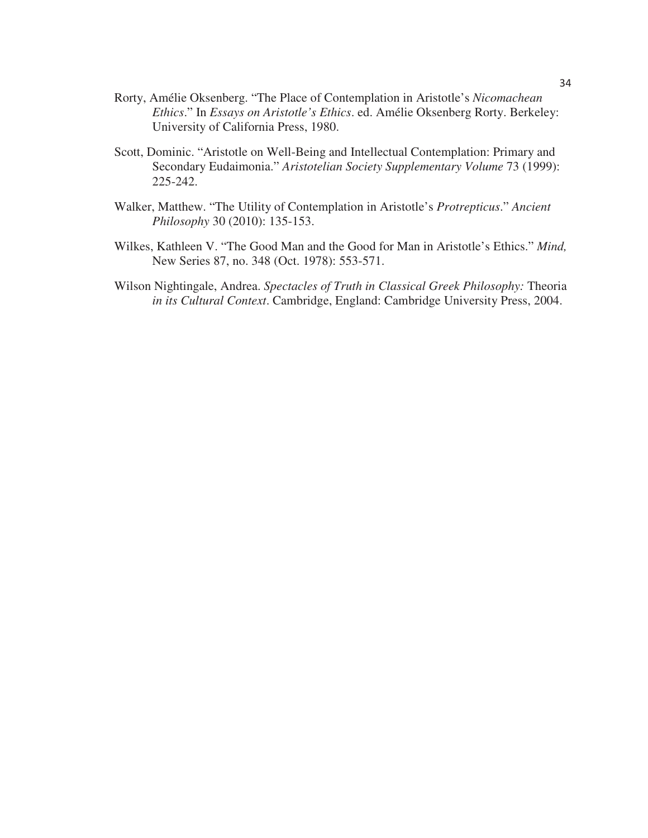- Rorty, Amélie Oksenberg. "The Place of Contemplation in Aristotle's *Nicomachean Ethics*." In *Essays on Aristotle's Ethics*. ed. Amélie Oksenberg Rorty. Berkeley: University of California Press, 1980.
- Scott, Dominic. "Aristotle on Well-Being and Intellectual Contemplation: Primary and Secondary Eudaimonia." *Aristotelian Society Supplementary Volume* 73 (1999): 225-242.
- Walker, Matthew. "The Utility of Contemplation in Aristotle's *Protrepticus*." *Ancient Philosophy* 30 (2010): 135-153.
- Wilkes, Kathleen V. "The Good Man and the Good for Man in Aristotle's Ethics." *Mind,*  New Series 87, no. 348 (Oct. 1978): 553-571.
- Wilson Nightingale, Andrea. *Spectacles of Truth in Classical Greek Philosophy:* Theoria *in its Cultural Context*. Cambridge, England: Cambridge University Press, 2004.